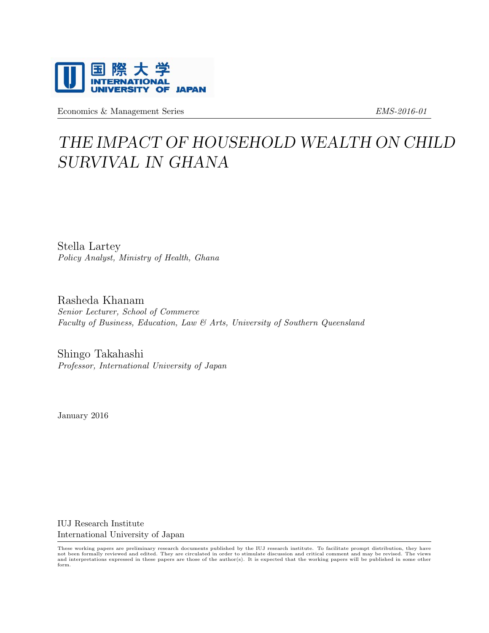

Economics & Management Series Employees EMS-2016-01

# THE IMPACT OF HOUSEHOLD WEALTH ON CHILD SURVIVAL IN GHANA

Stella Lartey Policy Analyst, Ministry of Health, Ghana

Rasheda Khanam Senior Lecturer, School of Commerce Faculty of Business, Education, Law & Arts, University of Southern Queensland

Shingo Takahashi Professor, International University of Japan

January 2016

IUJ Research Institute International University of Japan

These working papers are preliminary research documents published by the IUJ research institute. To facilitate prompt distribution, they have not been formally reviewed and edited. They are circulated in order to stimulate discussion and critical comment and may be revised. The views<br>and interpretations expressed in these papers are those of the author(s). It is form.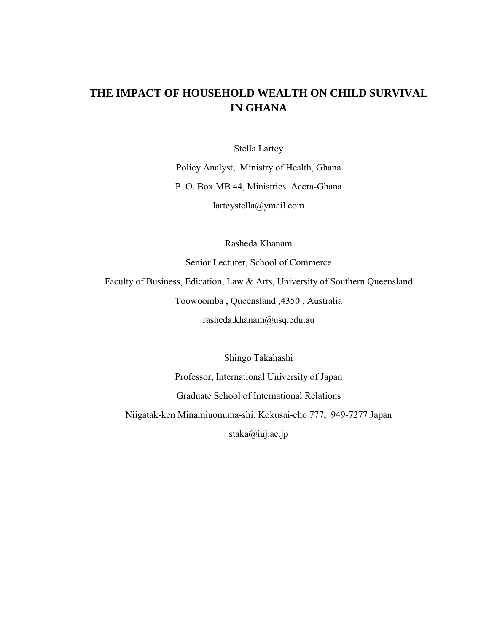## **THE IMPACT OF HOUSEHOLD WEALTH ON CHILD SURVIVAL IN GHANA**

Stella Lartey

Policy Analyst, Ministry of Health, Ghana P. O. Box MB 44, Ministries. Accra-Ghana larteystella@ymail.com

Rasheda Khanam

Senior Lecturer, School of Commerce

Faculty of Business, Edication, Law & Arts, University of Southern Queensland Toowoomba , Queensland ,4350 , Australia

rasheda.khanam@usq.edu.au

Shingo Takahashi Professor, International University of Japan Graduate School of International Relations Niigatak-ken Minamiuonuma-shi, Kokusai-cho 777, 949-7277 Japan staka@iuj.ac.jp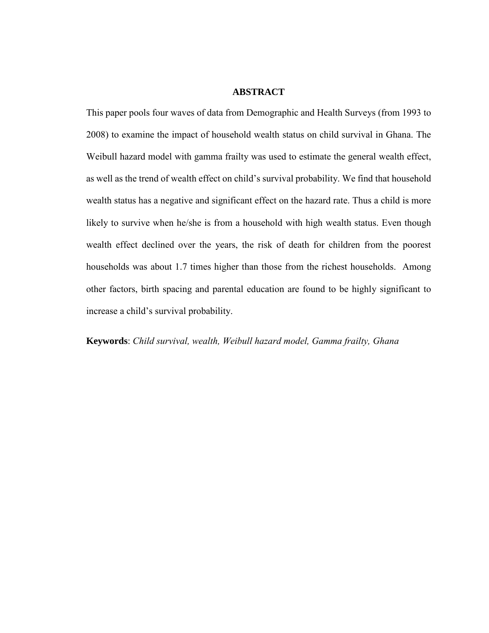#### **ABSTRACT**

This paper pools four waves of data from Demographic and Health Surveys (from 1993 to 2008) to examine the impact of household wealth status on child survival in Ghana. The Weibull hazard model with gamma frailty was used to estimate the general wealth effect, as well as the trend of wealth effect on child's survival probability. We find that household wealth status has a negative and significant effect on the hazard rate. Thus a child is more likely to survive when he/she is from a household with high wealth status. Even though wealth effect declined over the years, the risk of death for children from the poorest households was about 1.7 times higher than those from the richest households. Among other factors, birth spacing and parental education are found to be highly significant to increase a child's survival probability.

**Keywords**: *Child survival, wealth, Weibull hazard model, Gamma frailty, Ghana*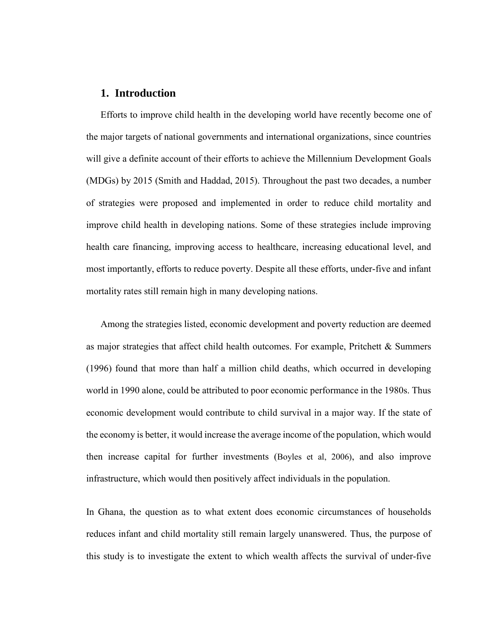## **1. Introduction**

Efforts to improve child health in the developing world have recently become one of the major targets of national governments and international organizations, since countries will give a definite account of their efforts to achieve the Millennium Development Goals (MDGs) by 2015 (Smith and Haddad, 2015). Throughout the past two decades, a number of strategies were proposed and implemented in order to reduce child mortality and improve child health in developing nations. Some of these strategies include improving health care financing, improving access to healthcare, increasing educational level, and most importantly, efforts to reduce poverty. Despite all these efforts, under-five and infant mortality rates still remain high in many developing nations.

Among the strategies listed, economic development and poverty reduction are deemed as major strategies that affect child health outcomes. For example, Pritchett & Summers (1996) found that more than half a million child deaths, which occurred in developing world in 1990 alone, could be attributed to poor economic performance in the 1980s. Thus economic development would contribute to child survival in a major way. If the state of the economy is better, it would increase the average income of the population, which would then increase capital for further investments (Boyles et al, 2006), and also improve infrastructure, which would then positively affect individuals in the population.

In Ghana, the question as to what extent does economic circumstances of households reduces infant and child mortality still remain largely unanswered. Thus, the purpose of this study is to investigate the extent to which wealth affects the survival of under-five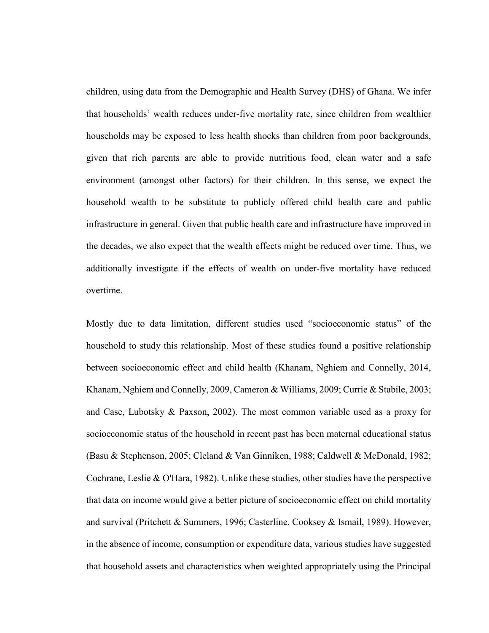children, using data from the Demographic and Health Survey (DHS) of Ghana. We infer that households' wealth reduces under-five mortality rate, since children from wealthier households may be exposed to less health shocks than children from poor backgrounds, given that rich parents are able to provide nutritious food, clean water and a safe environment (amongst other factors) for their children. In this sense, we expect the household wealth to be substitute to publicly offered child health care and public infrastructure in general. Given that public health care and infrastructure have improved in the decades, we also expect that the wealth effects might be reduced over time. Thus, we additionally investigate if the effects of wealth on under-five mortality have reduced overtime.

Mostly due to data limitation, different studies used "socioeconomic status" of the household to study this relationship. Most of these studies found a positive relationship between socioeconomic effect and child health (Khanam, Nghiem and Connelly, 2014, Khanam, Nghiem and Connelly, 2009, Cameron & Williams, 2009; Currie & Stabile, 2003; and Case, Lubotsky & Paxson, 2002). The most common variable used as a proxy for socioeconomic status of the household in recent past has been maternal educational status (Basu & Stephenson, 2005; Cleland & Van Ginniken, 1988; Caldwell & McDonald, 1982; Cochrane, Leslie & O'Hara, 1982). Unlike these studies, other studies have the perspective that data on income would give a better picture of socioeconomic effect on child mortality and survival (Pritchett & Summers, 1996; Casterline, Cooksey & Ismail, 1989). However, in the absence of income, consumption or expenditure data, various studies have suggested that household assets and characteristics when weighted appropriately using the Principal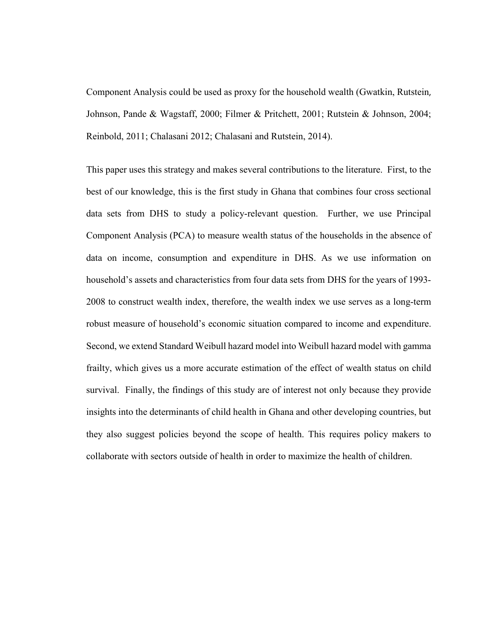Component Analysis could be used as proxy for the household wealth (Gwatkin, Rutstein, Johnson, Pande & Wagstaff, 2000; Filmer & Pritchett, 2001; Rutstein & Johnson, 2004; Reinbold, 2011; Chalasani 2012; Chalasani and Rutstein, 2014).

This paper uses this strategy and makes several contributions to the literature. First, to the best of our knowledge, this is the first study in Ghana that combines four cross sectional data sets from DHS to study a policy-relevant question. Further, we use Principal Component Analysis (PCA) to measure wealth status of the households in the absence of data on income, consumption and expenditure in DHS. As we use information on household's assets and characteristics from four data sets from DHS for the years of 1993- 2008 to construct wealth index, therefore, the wealth index we use serves as a long-term robust measure of household's economic situation compared to income and expenditure. Second, we extend Standard Weibull hazard model into Weibull hazard model with gamma frailty, which gives us a more accurate estimation of the effect of wealth status on child survival. Finally, the findings of this study are of interest not only because they provide insights into the determinants of child health in Ghana and other developing countries, but they also suggest policies beyond the scope of health. This requires policy makers to collaborate with sectors outside of health in order to maximize the health of children.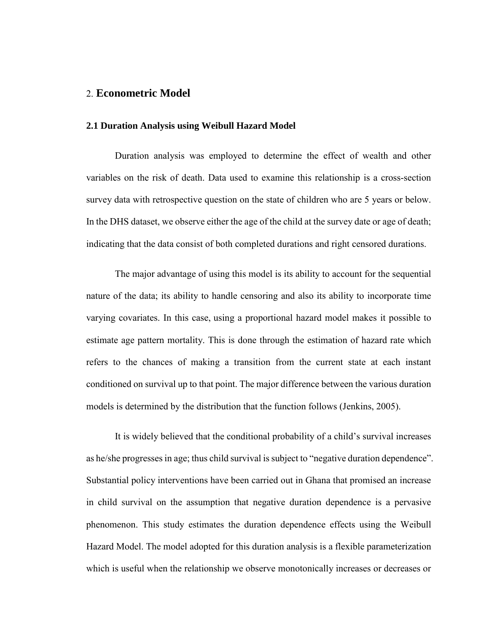## 2. **Econometric Model**

#### **2.1 Duration Analysis using Weibull Hazard Model**

Duration analysis was employed to determine the effect of wealth and other variables on the risk of death. Data used to examine this relationship is a cross-section survey data with retrospective question on the state of children who are 5 years or below. In the DHS dataset, we observe either the age of the child at the survey date or age of death; indicating that the data consist of both completed durations and right censored durations.

The major advantage of using this model is its ability to account for the sequential nature of the data; its ability to handle censoring and also its ability to incorporate time varying covariates. In this case, using a proportional hazard model makes it possible to estimate age pattern mortality. This is done through the estimation of hazard rate which refers to the chances of making a transition from the current state at each instant conditioned on survival up to that point. The major difference between the various duration models is determined by the distribution that the function follows (Jenkins, 2005).

It is widely believed that the conditional probability of a child's survival increases as he/she progresses in age; thus child survival is subject to "negative duration dependence". Substantial policy interventions have been carried out in Ghana that promised an increase in child survival on the assumption that negative duration dependence is a pervasive phenomenon. This study estimates the duration dependence effects using the Weibull Hazard Model. The model adopted for this duration analysis is a flexible parameterization which is useful when the relationship we observe monotonically increases or decreases or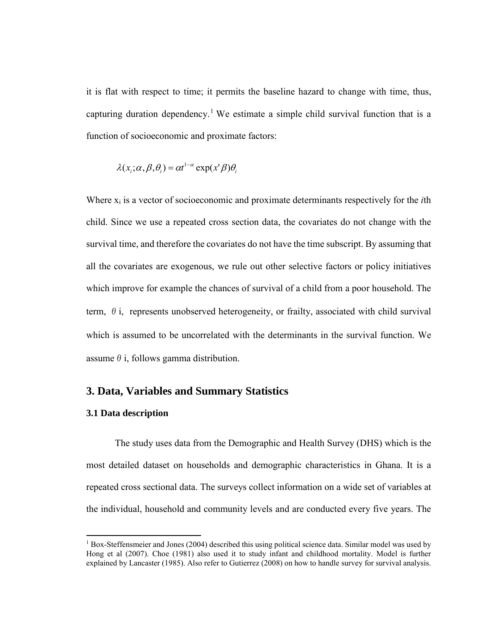it is flat with respect to time; it permits the baseline hazard to change with time, thus, capturing duration dependency.<sup>[1](#page-7-0)</sup> We estimate a simple child survival function that is a function of socioeconomic and proximate factors:

$$
\lambda(x_i;\alpha,\beta,\theta_i) = \alpha t^{1-\alpha} \exp(x^{\prime} \beta) \theta_i
$$

Where xi is a vector of socioeconomic and proximate determinants respectively for the *i*th child. Since we use a repeated cross section data, the covariates do not change with the survival time, and therefore the covariates do not have the time subscript. By assuming that all the covariates are exogenous, we rule out other selective factors or policy initiatives which improve for example the chances of survival of a child from a poor household. The term,  $\theta$  i, represents unobserved heterogeneity, or frailty, associated with child survival which is assumed to be uncorrelated with the determinants in the survival function. We assume  $\theta$  i, follows gamma distribution.

## **3. Data, Variables and Summary Statistics**

#### **3.1 Data description**

l

The study uses data from the Demographic and Health Survey (DHS) which is the most detailed dataset on households and demographic characteristics in Ghana. It is a repeated cross sectional data. The surveys collect information on a wide set of variables at the individual, household and community levels and are conducted every five years. The

<span id="page-7-0"></span> $1$  Box-Steffensmeier and Jones (2004) described this using political science data. Similar model was used by Hong et al (2007). Choe (1981) also used it to study infant and childhood mortality. Model is further explained by Lancaster (1985). Also refer to Gutierrez (2008) on how to handle survey for survival analysis.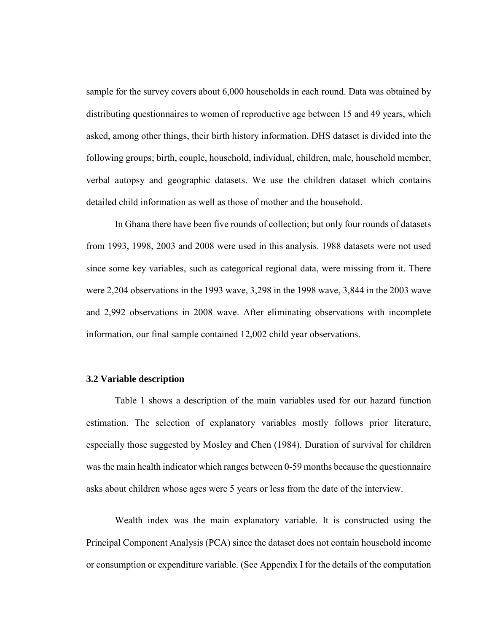sample for the survey covers about 6,000 households in each round. Data was obtained by distributing questionnaires to women of reproductive age between 15 and 49 years, which asked, among other things, their birth history information. DHS dataset is divided into the following groups; birth, couple, household, individual, children, male, household member, verbal autopsy and geographic datasets. We use the children dataset which contains detailed child information as well as those of mother and the household.

In Ghana there have been five rounds of collection; but only four rounds of datasets from 1993, 1998, 2003 and 2008 were used in this analysis. 1988 datasets were not used since some key variables, such as categorical regional data, were missing from it. There were 2,204 observations in the 1993 wave, 3,298 in the 1998 wave, 3,844 in the 2003 wave and 2,992 observations in 2008 wave. After eliminating observations with incomplete information, our final sample contained 12,002 child year observations.

#### **3.2 Variable description**

Table 1 shows a description of the main variables used for our hazard function estimation. The selection of explanatory variables mostly follows prior literature, especially those suggested by Mosley and Chen (1984). Duration of survival for children wasthe main health indicator which ranges between 0-59 months because the questionnaire asks about children whose ages were 5 years or less from the date of the interview.

Wealth index was the main explanatory variable. It is constructed using the Principal Component Analysis (PCA) since the dataset does not contain household income or consumption or expenditure variable. (See Appendix I for the details of the computation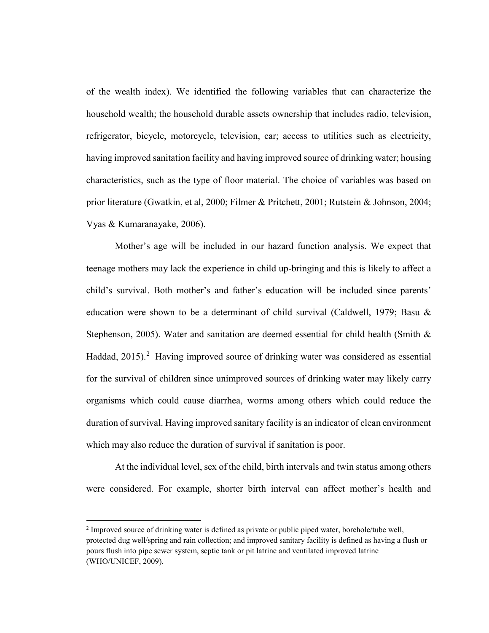of the wealth index). We identified the following variables that can characterize the household wealth; the household durable assets ownership that includes radio, television, refrigerator, bicycle, motorcycle, television, car; access to utilities such as electricity, having improved sanitation facility and having improved source of drinking water; housing characteristics, such as the type of floor material. The choice of variables was based on prior literature (Gwatkin, et al, 2000; Filmer & Pritchett, 2001; Rutstein & Johnson, 2004; Vyas & Kumaranayake, 2006).

Mother's age will be included in our hazard function analysis. We expect that teenage mothers may lack the experience in child up-bringing and this is likely to affect a child's survival. Both mother's and father's education will be included since parents' education were shown to be a determinant of child survival (Caldwell, 1979; Basu & Stephenson, 2005). Water and sanitation are deemed essential for child health (Smith  $\&$ Haddad, [2](#page-9-0)015).<sup>2</sup> Having improved source of drinking water was considered as essential for the survival of children since unimproved sources of drinking water may likely carry organisms which could cause diarrhea, worms among others which could reduce the duration of survival. Having improved sanitary facility is an indicator of clean environment which may also reduce the duration of survival if sanitation is poor.

At the individual level, sex of the child, birth intervals and twin status among others were considered. For example, shorter birth interval can affect mother's health and

l

<span id="page-9-0"></span><sup>2</sup> Improved source of drinking water is defined as private or public piped water, borehole/tube well, protected dug well/spring and rain collection; and improved sanitary facility is defined as having a flush or pours flush into pipe sewer system, septic tank or pit latrine and ventilated improved latrine (WHO/UNICEF, 2009).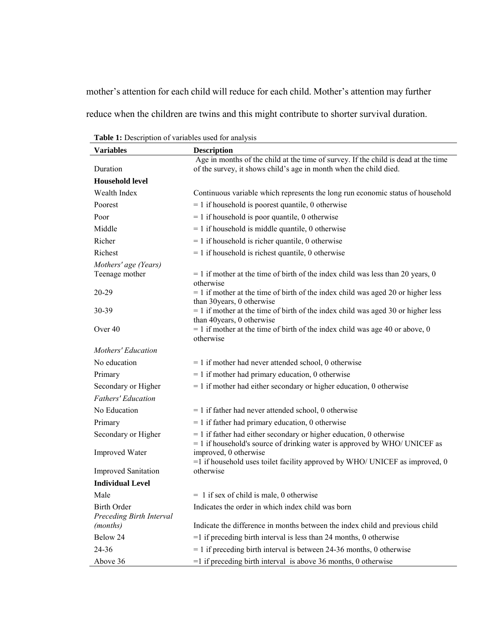mother's attention for each child will reduce for each child. Mother's attention may further reduce when the children are twins and this might contribute to shorter survival duration.

| Variables                  | <b>Description</b>                                                                                                                                   |
|----------------------------|------------------------------------------------------------------------------------------------------------------------------------------------------|
|                            | Age in months of the child at the time of survey. If the child is dead at the time                                                                   |
| Duration                   | of the survey, it shows child's age in month when the child died.                                                                                    |
| <b>Household level</b>     |                                                                                                                                                      |
| Wealth Index               | Continuous variable which represents the long run economic status of household                                                                       |
| Poorest                    | $= 1$ if household is poorest quantile, 0 otherwise                                                                                                  |
| Poor                       | $= 1$ if household is poor quantile, 0 otherwise                                                                                                     |
| Middle                     | $= 1$ if household is middle quantile, 0 otherwise                                                                                                   |
| Richer                     | $= 1$ if household is richer quantile, 0 otherwise                                                                                                   |
| Richest                    | $= 1$ if household is richest quantile, 0 otherwise                                                                                                  |
| Mothers' age (Years)       |                                                                                                                                                      |
| Teenage mother             | $= 1$ if mother at the time of birth of the index child was less than 20 years, 0<br>otherwise                                                       |
| 20-29                      | $= 1$ if mother at the time of birth of the index child was aged 20 or higher less<br>than 30 years, 0 otherwise                                     |
| 30-39                      | $= 1$ if mother at the time of birth of the index child was aged 30 or higher less<br>than 40years, 0 otherwise                                      |
| Over 40                    | $= 1$ if mother at the time of birth of the index child was age 40 or above, 0<br>otherwise                                                          |
| <b>Mothers' Education</b>  |                                                                                                                                                      |
| No education               | $= 1$ if mother had never attended school, 0 otherwise                                                                                               |
| Primary                    | $= 1$ if mother had primary education, 0 otherwise                                                                                                   |
| Secondary or Higher        | $= 1$ if mother had either secondary or higher education, 0 otherwise                                                                                |
| <b>Fathers' Education</b>  |                                                                                                                                                      |
| No Education               | $= 1$ if father had never attended school, 0 otherwise                                                                                               |
| Primary                    | $= 1$ if father had primary education, 0 otherwise                                                                                                   |
| Secondary or Higher        | $= 1$ if father had either secondary or higher education, 0 otherwise<br>$= 1$ if household's source of drinking water is approved by WHO/ UNICEF as |
| <b>Improved Water</b>      | improved, 0 otherwise<br>$=$ 1 if household uses toilet facility approved by WHO/ UNICEF as improved, 0                                              |
| <b>Improved Sanitation</b> | otherwise                                                                                                                                            |
| <b>Individual Level</b>    |                                                                                                                                                      |
| Male                       | $= 1$ if sex of child is male, 0 otherwise                                                                                                           |
| <b>Birth Order</b>         | Indicates the order in which index child was born                                                                                                    |
| Preceding Birth Interval   |                                                                                                                                                      |
| (months)                   | Indicate the difference in months between the index child and previous child                                                                         |
| Below 24                   | $=$ 1 if preceding birth interval is less than 24 months, 0 otherwise                                                                                |
| 24-36                      | $= 1$ if preceding birth interval is between 24-36 months, 0 otherwise                                                                               |
| Above 36                   | $=$ 1 if preceding birth interval is above 36 months, 0 otherwise                                                                                    |

**Table 1:** Description of variables used for analysis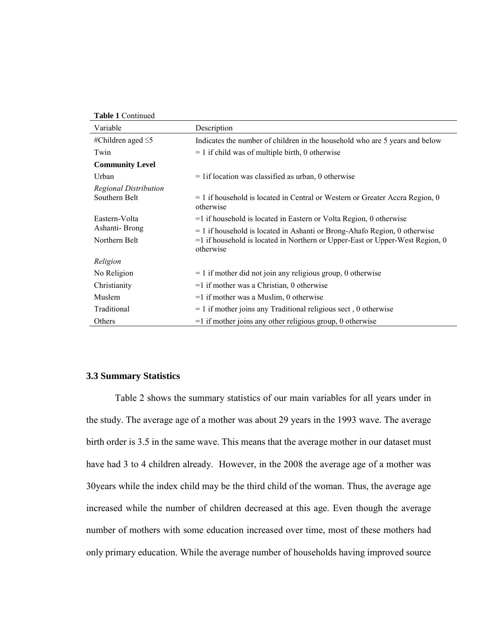| Variable                | Description                                                                                  |
|-------------------------|----------------------------------------------------------------------------------------------|
| #Children aged $\leq$ 5 | Indicates the number of children in the household who are 5 years and below                  |
| Twin                    | $= 1$ if child was of multiple birth, 0 otherwise                                            |
| <b>Community Level</b>  |                                                                                              |
| Urban                   | $=$ 1 if location was classified as urban, 0 otherwise                                       |
| Regional Distribution   |                                                                                              |
| Southern Belt           | $= 1$ if household is located in Central or Western or Greater Accra Region, 0<br>otherwise  |
| Eastern-Volta           | $=$ 1 if household is located in Eastern or Volta Region, 0 otherwise                        |
| Ashanti-Brong           | $= 1$ if household is located in Ashanti or Brong-Ahafo Region, 0 otherwise                  |
| Northern Belt           | $=$ 1 if household is located in Northern or Upper-East or Upper-West Region, 0<br>otherwise |
| Religion                |                                                                                              |
| No Religion             | $= 1$ if mother did not join any religious group, 0 otherwise                                |
| Christianity            | $=1$ if mother was a Christian, 0 otherwise                                                  |
| Muslem                  | $=$ 1 if mother was a Muslim, 0 otherwise                                                    |
| Traditional             | $= 1$ if mother joins any Traditional religious sect, 0 otherwise                            |
| Others                  | $=$ 1 if mother joins any other religious group, 0 otherwise                                 |

#### **3.3 Summary Statistics**

Table 2 shows the summary statistics of our main variables for all years under in the study. The average age of a mother was about 29 years in the 1993 wave. The average birth order is 3.5 in the same wave. This means that the average mother in our dataset must have had 3 to 4 children already. However, in the 2008 the average age of a mother was 30years while the index child may be the third child of the woman. Thus, the average age increased while the number of children decreased at this age. Even though the average number of mothers with some education increased over time, most of these mothers had only primary education. While the average number of households having improved source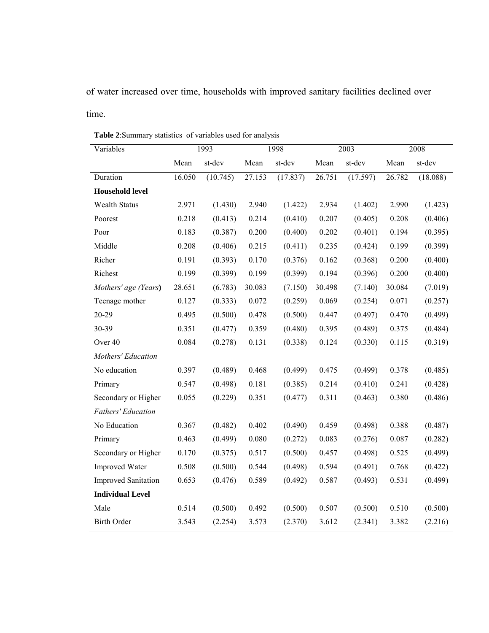of water increased over time, households with improved sanitary facilities declined over time.

| Variables                  | 1993   |          | 1998   |          | 2003   |          | 2008   |          |
|----------------------------|--------|----------|--------|----------|--------|----------|--------|----------|
|                            | Mean   | st-dev   | Mean   | st-dev   | Mean   | st-dev   | Mean   | st-dev   |
| Duration                   | 16.050 | (10.745) | 27.153 | (17.837) | 26.751 | (17.597) | 26.782 | (18.088) |
| <b>Household level</b>     |        |          |        |          |        |          |        |          |
| <b>Wealth Status</b>       | 2.971  | (1.430)  | 2.940  | (1.422)  | 2.934  | (1.402)  | 2.990  | (1.423)  |
| Poorest                    | 0.218  | (0.413)  | 0.214  | (0.410)  | 0.207  | (0.405)  | 0.208  | (0.406)  |
| Poor                       | 0.183  | (0.387)  | 0.200  | (0.400)  | 0.202  | (0.401)  | 0.194  | (0.395)  |
| Middle                     | 0.208  | (0.406)  | 0.215  | (0.411)  | 0.235  | (0.424)  | 0.199  | (0.399)  |
| Richer                     | 0.191  | (0.393)  | 0.170  | (0.376)  | 0.162  | (0.368)  | 0.200  | (0.400)  |
| Richest                    | 0.199  | (0.399)  | 0.199  | (0.399)  | 0.194  | (0.396)  | 0.200  | (0.400)  |
| Mothers' age (Years)       | 28.651 | (6.783)  | 30.083 | (7.150)  | 30.498 | (7.140)  | 30.084 | (7.019)  |
| Teenage mother             | 0.127  | (0.333)  | 0.072  | (0.259)  | 0.069  | (0.254)  | 0.071  | (0.257)  |
| 20-29                      | 0.495  | (0.500)  | 0.478  | (0.500)  | 0.447  | (0.497)  | 0.470  | (0.499)  |
| 30-39                      | 0.351  | (0.477)  | 0.359  | (0.480)  | 0.395  | (0.489)  | 0.375  | (0.484)  |
| Over <sub>40</sub>         | 0.084  | (0.278)  | 0.131  | (0.338)  | 0.124  | (0.330)  | 0.115  | (0.319)  |
| Mothers' Education         |        |          |        |          |        |          |        |          |
| No education               | 0.397  | (0.489)  | 0.468  | (0.499)  | 0.475  | (0.499)  | 0.378  | (0.485)  |
| Primary                    | 0.547  | (0.498)  | 0.181  | (0.385)  | 0.214  | (0.410)  | 0.241  | (0.428)  |
| Secondary or Higher        | 0.055  | (0.229)  | 0.351  | (0.477)  | 0.311  | (0.463)  | 0.380  | (0.486)  |
| Fathers' Education         |        |          |        |          |        |          |        |          |
| No Education               | 0.367  | (0.482)  | 0.402  | (0.490)  | 0.459  | (0.498)  | 0.388  | (0.487)  |
| Primary                    | 0.463  | (0.499)  | 0.080  | (0.272)  | 0.083  | (0.276)  | 0.087  | (0.282)  |
| Secondary or Higher        | 0.170  | (0.375)  | 0.517  | (0.500)  | 0.457  | (0.498)  | 0.525  | (0.499)  |
| <b>Improved Water</b>      | 0.508  | (0.500)  | 0.544  | (0.498)  | 0.594  | (0.491)  | 0.768  | (0.422)  |
| <b>Improved Sanitation</b> | 0.653  | (0.476)  | 0.589  | (0.492)  | 0.587  | (0.493)  | 0.531  | (0.499)  |
| <b>Individual Level</b>    |        |          |        |          |        |          |        |          |
| Male                       | 0.514  | (0.500)  | 0.492  | (0.500)  | 0.507  | (0.500)  | 0.510  | (0.500)  |
| <b>Birth Order</b>         | 3.543  | (2.254)  | 3.573  | (2.370)  | 3.612  | (2.341)  | 3.382  | (2.216)  |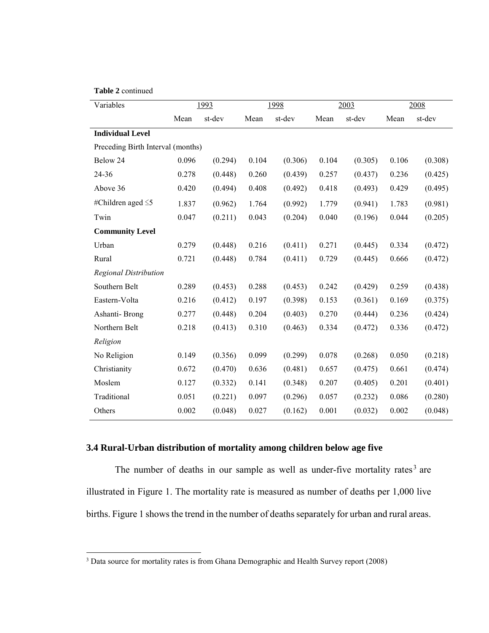#### **Table 2** continued

l

| Variables                         |       | 1993    | 1998  |         | 2003  |         | 2008  |         |
|-----------------------------------|-------|---------|-------|---------|-------|---------|-------|---------|
|                                   | Mean  | st-dev  | Mean  | st-dev  | Mean  | st-dev  | Mean  | st-dev  |
| <b>Individual Level</b>           |       |         |       |         |       |         |       |         |
| Preceding Birth Interval (months) |       |         |       |         |       |         |       |         |
| Below 24                          | 0.096 | (0.294) | 0.104 | (0.306) | 0.104 | (0.305) | 0.106 | (0.308) |
| 24-36                             | 0.278 | (0.448) | 0.260 | (0.439) | 0.257 | (0.437) | 0.236 | (0.425) |
| Above 36                          | 0.420 | (0.494) | 0.408 | (0.492) | 0.418 | (0.493) | 0.429 | (0.495) |
| #Children aged $\leq$ 5           | 1.837 | (0.962) | 1.764 | (0.992) | 1.779 | (0.941) | 1.783 | (0.981) |
| Twin                              | 0.047 | (0.211) | 0.043 | (0.204) | 0.040 | (0.196) | 0.044 | (0.205) |
| <b>Community Level</b>            |       |         |       |         |       |         |       |         |
| Urban                             | 0.279 | (0.448) | 0.216 | (0.411) | 0.271 | (0.445) | 0.334 | (0.472) |
| Rural                             | 0.721 | (0.448) | 0.784 | (0.411) | 0.729 | (0.445) | 0.666 | (0.472) |
| <b>Regional Distribution</b>      |       |         |       |         |       |         |       |         |
| Southern Belt                     | 0.289 | (0.453) | 0.288 | (0.453) | 0.242 | (0.429) | 0.259 | (0.438) |
| Eastern-Volta                     | 0.216 | (0.412) | 0.197 | (0.398) | 0.153 | (0.361) | 0.169 | (0.375) |
| Ashanti-Brong                     | 0.277 | (0.448) | 0.204 | (0.403) | 0.270 | (0.444) | 0.236 | (0.424) |
| Northern Belt                     | 0.218 | (0.413) | 0.310 | (0.463) | 0.334 | (0.472) | 0.336 | (0.472) |
| Religion                          |       |         |       |         |       |         |       |         |
| No Religion                       | 0.149 | (0.356) | 0.099 | (0.299) | 0.078 | (0.268) | 0.050 | (0.218) |
| Christianity                      | 0.672 | (0.470) | 0.636 | (0.481) | 0.657 | (0.475) | 0.661 | (0.474) |
| Moslem                            | 0.127 | (0.332) | 0.141 | (0.348) | 0.207 | (0.405) | 0.201 | (0.401) |
| Traditional                       | 0.051 | (0.221) | 0.097 | (0.296) | 0.057 | (0.232) | 0.086 | (0.280) |
| Others                            | 0.002 | (0.048) | 0.027 | (0.162) | 0.001 | (0.032) | 0.002 | (0.048) |

## **3.4 Rural-Urban distribution of mortality among children below age five**

The number of deaths in our sample as well as under-five mortality rates<sup>[3](#page-13-0)</sup> are illustrated in Figure 1. The mortality rate is measured as number of deaths per 1,000 live births. Figure 1 shows the trend in the number of deaths separately for urban and rural areas.

<span id="page-13-0"></span> $3$  Data source for mortality rates is from Ghana Demographic and Health Survey report (2008)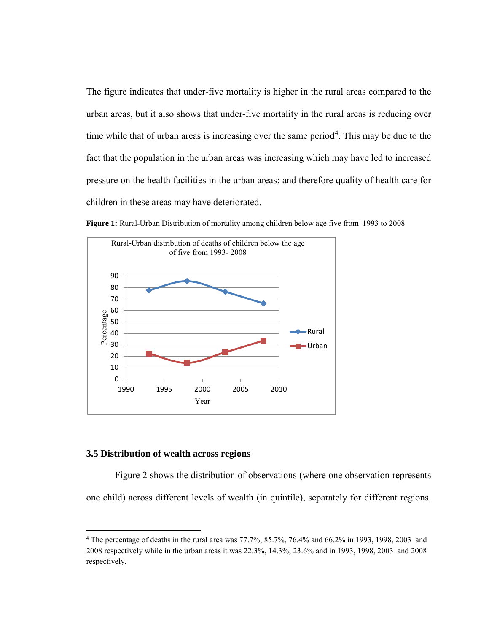The figure indicates that under-five mortality is higher in the rural areas compared to the urban areas, but it also shows that under-five mortality in the rural areas is reducing over time while that of urban areas is increasing over the same period<sup>[4](#page-14-0)</sup>. This may be due to the fact that the population in the urban areas was increasing which may have led to increased pressure on the health facilities in the urban areas; and therefore quality of health care for children in these areas may have deteriorated.



**Figure 1:** Rural-Urban Distribution of mortality among children below age five from 1993 to 2008

#### **3.5 Distribution of wealth across regions**

l

Figure 2 shows the distribution of observations (where one observation represents one child) across different levels of wealth (in quintile), separately for different regions.

<span id="page-14-0"></span><sup>4</sup> The percentage of deaths in the rural area was 77.7%, 85.7%, 76.4% and 66.2% in 1993, 1998, 2003 and 2008 respectively while in the urban areas it was 22.3%, 14.3%, 23.6% and in 1993, 1998, 2003 and 2008 respectively.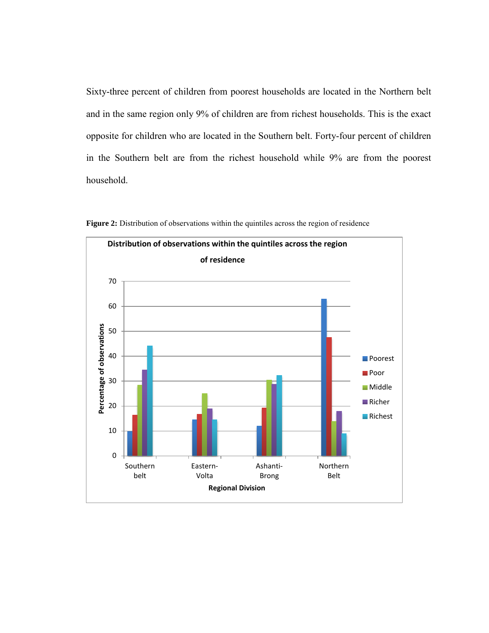Sixty-three percent of children from poorest households are located in the Northern belt and in the same region only 9% of children are from richest households. This is the exact opposite for children who are located in the Southern belt. Forty-four percent of children in the Southern belt are from the richest household while 9% are from the poorest household.



**Figure 2:** Distribution of observations within the quintiles across the region of residence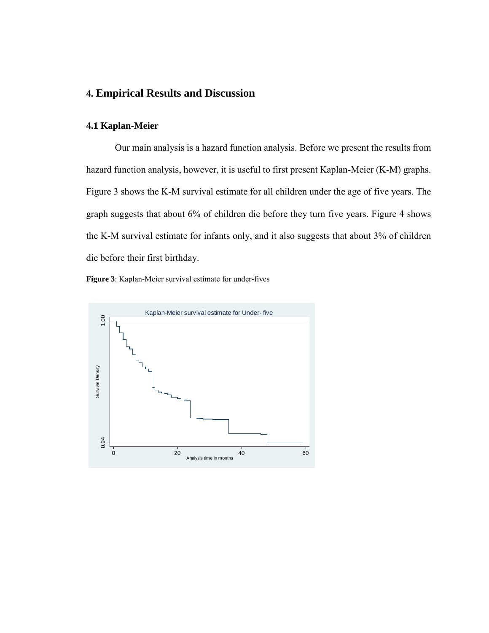## **4. Empirical Results and Discussion**

#### **4.1 Kaplan-Meier**

Our main analysis is a hazard function analysis. Before we present the results from hazard function analysis, however, it is useful to first present Kaplan-Meier (K-M) graphs. Figure 3 shows the K-M survival estimate for all children under the age of five years. The graph suggests that about 6% of children die before they turn five years. Figure 4 shows the K-M survival estimate for infants only, and it also suggests that about 3% of children die before their first birthday.

**Figure 3**: Kaplan-Meier survival estimate for under-fives

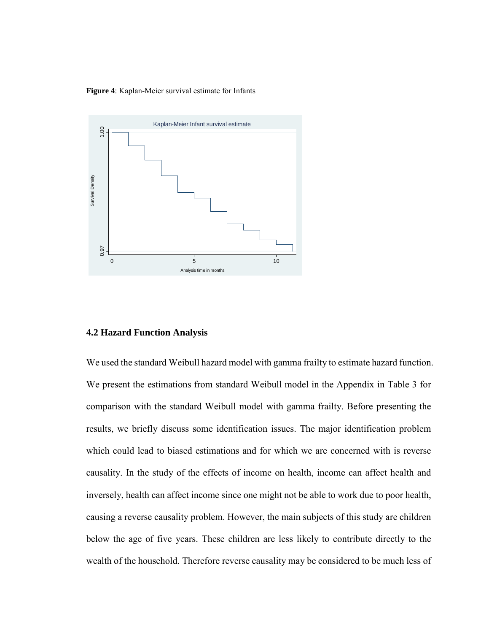**Figure 4**: Kaplan-Meier survival estimate for Infants



#### **4.2 Hazard Function Analysis**

We used the standard Weibull hazard model with gamma frailty to estimate hazard function. We present the estimations from standard Weibull model in the Appendix in Table 3 for comparison with the standard Weibull model with gamma frailty. Before presenting the results, we briefly discuss some identification issues. The major identification problem which could lead to biased estimations and for which we are concerned with is reverse causality. In the study of the effects of income on health, income can affect health and inversely, health can affect income since one might not be able to work due to poor health, causing a reverse causality problem. However, the main subjects of this study are children below the age of five years. These children are less likely to contribute directly to the And **Example 2018**<br>
We used the standard Weibull hazard model with gamma frailty to estimate hazard function.<br>
We present the estimations from standard Weibull model in the Appendix in Table 3 for<br>
where reserve the estim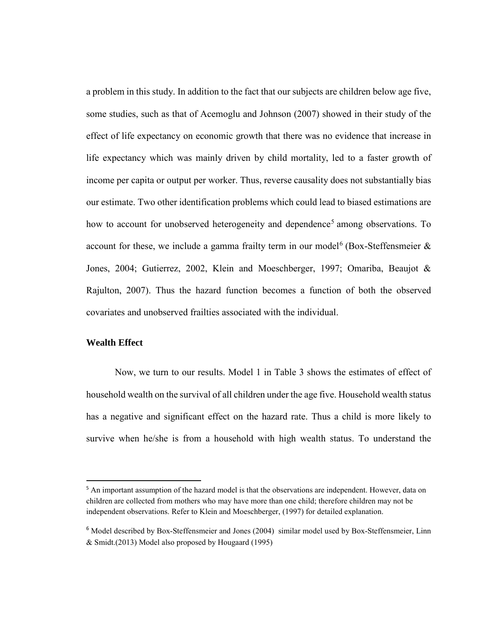a problem in this study. In addition to the fact that our subjects are children below age five, some studies, such as that of Acemoglu and Johnson (2007) showed in their study of the effect of life expectancy on economic growth that there was no evidence that increase in life expectancy which was mainly driven by child mortality, led to a faster growth of income per capita or output per worker. Thus, reverse causality does not substantially bias our estimate. Two other identification problems which could lead to biased estimations are how to account for unobserved heterogeneity and dependence<sup>[5](#page-18-0)</sup> among observations. To account for these, we include a gamma frailty term in our model<sup>[6](#page-18-1)</sup> (Box-Steffensmeier  $\&$ Jones, 2004; Gutierrez, 2002, Klein and Moeschberger, 1997; Omariba, Beaujot & Rajulton, 2007). Thus the hazard function becomes a function of both the observed covariates and unobserved frailties associated with the individual.

### **Wealth Effect**

l

Now, we turn to our results. Model 1 in Table 3 shows the estimates of effect of household wealth on the survival of all children under the age five. Household wealth status has a negative and significant effect on the hazard rate. Thus a child is more likely to survive when he/she is from a household with high wealth status. To understand the

<span id="page-18-0"></span><sup>&</sup>lt;sup>5</sup> An important assumption of the hazard model is that the observations are independent. However, data on children are collected from mothers who may have more than one child; therefore children may not be independent observations. Refer to Klein and Moeschberger, (1997) for detailed explanation.

<span id="page-18-1"></span><sup>6</sup> Model described by Box-Steffensmeier and Jones (2004) similar model used by Box-Steffensmeier, Linn & Smidt.(2013) Model also proposed by Hougaard (1995)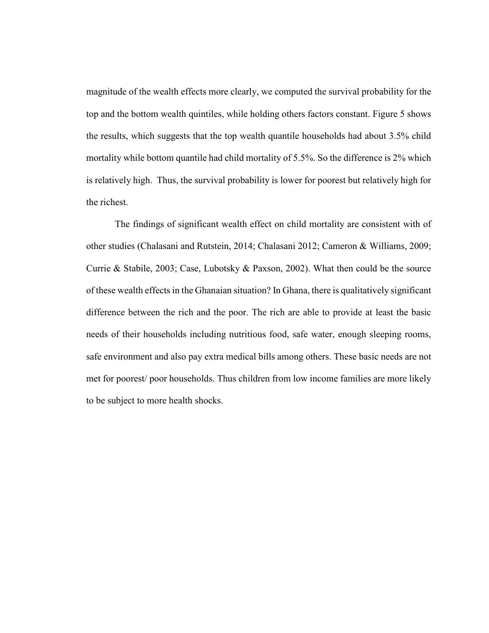magnitude of the wealth effects more clearly, we computed the survival probability for the top and the bottom wealth quintiles, while holding others factors constant. Figure 5 shows the results, which suggests that the top wealth quantile households had about 3.5% child mortality while bottom quantile had child mortality of 5.5%. So the difference is 2% which is relatively high. Thus, the survival probability is lower for poorest but relatively high for the richest.

The findings of significant wealth effect on child mortality are consistent with of other studies (Chalasani and Rutstein, 2014; Chalasani 2012; Cameron & Williams, 2009; Currie & Stabile, 2003; Case, Lubotsky & Paxson, 2002). What then could be the source of these wealth effects in the Ghanaian situation? In Ghana, there is qualitatively significant difference between the rich and the poor. The rich are able to provide at least the basic needs of their households including nutritious food, safe water, enough sleeping rooms, safe environment and also pay extra medical bills among others. These basic needs are not met for poorest/ poor households. Thus children from low income families are more likely to be subject to more health shocks.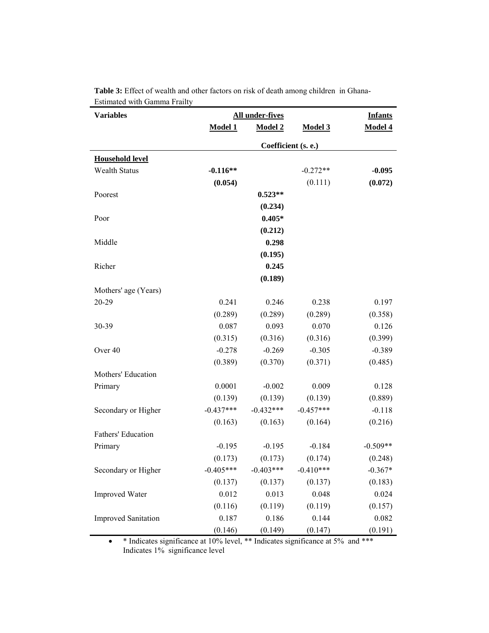| <b>Variables</b>           | All under-fives | <b>Infants</b> |                     |            |
|----------------------------|-----------------|----------------|---------------------|------------|
|                            | <b>Model 1</b>  | <b>Model 2</b> | Model 3             | Model 4    |
|                            |                 |                | Coefficient (s. e.) |            |
| <b>Household level</b>     |                 |                |                     |            |
| <b>Wealth Status</b>       | $-0.116**$      |                | $-0.272**$          | $-0.095$   |
|                            | (0.054)         |                | (0.111)             | (0.072)    |
| Poorest                    |                 | $0.523**$      |                     |            |
|                            |                 | (0.234)        |                     |            |
| Poor                       |                 | $0.405*$       |                     |            |
|                            |                 | (0.212)        |                     |            |
| Middle                     |                 | 0.298          |                     |            |
|                            |                 | (0.195)        |                     |            |
| Richer                     |                 | 0.245          |                     |            |
|                            |                 | (0.189)        |                     |            |
| Mothers' age (Years)       |                 |                |                     |            |
| 20-29                      | 0.241           | 0.246          | 0.238               | 0.197      |
|                            | (0.289)         | (0.289)        | (0.289)             | (0.358)    |
| 30-39                      | 0.087           | 0.093          | 0.070               | 0.126      |
|                            | (0.315)         | (0.316)        | (0.316)             | (0.399)    |
| Over 40                    | $-0.278$        | $-0.269$       | $-0.305$            | $-0.389$   |
|                            | (0.389)         | (0.370)        | (0.371)             | (0.485)    |
| Mothers' Education         |                 |                |                     |            |
| Primary                    | 0.0001          | $-0.002$       | 0.009               | 0.128      |
|                            | (0.139)         | (0.139)        | (0.139)             | (0.889)    |
| Secondary or Higher        | $-0.437***$     | $-0.432***$    | $-0.457***$         | $-0.118$   |
|                            | (0.163)         | (0.163)        | (0.164)             | (0.216)    |
| <b>Fathers' Education</b>  |                 |                |                     |            |
| Primary                    | $-0.195$        | $-0.195$       | $-0.184$            | $-0.509**$ |
|                            | (0.173)         | (0.173)        | (0.174)             | (0.248)    |
| Secondary or Higher        | $-0.405***$     | $-0.403***$    | $-0.410***$         | $-0.367*$  |
|                            | (0.137)         | (0.137)        | (0.137)             | (0.183)    |
| <b>Improved Water</b>      | 0.012           | 0.013          | 0.048               | 0.024      |
|                            | (0.116)         | (0.119)        | (0.119)             | (0.157)    |
| <b>Improved Sanitation</b> | 0.187           | 0.186          | 0.144               | 0.082      |
|                            | (0.146)         | (0.149)        | (0.147)             | (0.191)    |

**Table 3:** Effect of wealth and other factors on risk of death among children in Ghana-Estimated with Gamma Frailty

• \* Indicates significance at 10% level, \*\* Indicates significance at 5% and \*\*\* Indicates 1% significance level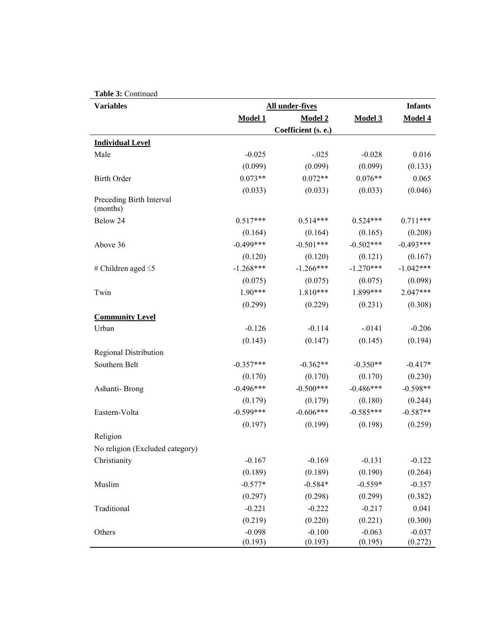|--|

| <b>Variables</b>                     | All under-fives |                     |             |             |  |
|--------------------------------------|-----------------|---------------------|-------------|-------------|--|
|                                      | <b>Model 1</b>  | <b>Model 2</b>      | Model 3     | Model 4     |  |
|                                      |                 | Coefficient (s. e.) |             |             |  |
| <b>Individual Level</b>              |                 |                     |             |             |  |
| Male                                 | $-0.025$        | $-.025$             | $-0.028$    | 0.016       |  |
|                                      | (0.099)         | (0.099)             | (0.099)     | (0.133)     |  |
| <b>Birth Order</b>                   | $0.073**$       | $0.072**$           | $0.076**$   | 0.065       |  |
|                                      | (0.033)         | (0.033)             | (0.033)     | (0.046)     |  |
| Preceding Birth Interval<br>(months) |                 |                     |             |             |  |
| Below 24                             | $0.517***$      | $0.514***$          | $0.524***$  | $0.711***$  |  |
|                                      | (0.164)         | (0.164)             | (0.165)     | (0.208)     |  |
| Above 36                             | $-0.499***$     | $-0.501***$         | $-0.502***$ | $-0.493***$ |  |
|                                      | (0.120)         | (0.120)             | (0.121)     | (0.167)     |  |
| # Children aged $\leq$ 5             | $-1.268***$     | $-1.266***$         | $-1.270***$ | $-1.042***$ |  |
|                                      | (0.075)         | (0.075)             | (0.075)     | (0.098)     |  |
| Twin                                 | $1.90***$       | $1.810***$          | 1.899***    | $2.047***$  |  |
|                                      | (0.299)         | (0.229)             | (0.231)     | (0.308)     |  |
| <b>Community Level</b>               |                 |                     |             |             |  |
| Urban                                | $-0.126$        | $-0.114$            | $-0141$     | $-0.206$    |  |
|                                      | (0.143)         | (0.147)             | (0.145)     | (0.194)     |  |
| <b>Regional Distribution</b>         |                 |                     |             |             |  |
| Southern Belt                        | $-0.357***$     | $-0.362**$          | $-0.350**$  | $-0.417*$   |  |
|                                      | (0.170)         | (0.170)             | (0.170)     | (0.230)     |  |
| Ashanti-Brong                        | $-0.496***$     | $-0.500***$         | $-0.486***$ | $-0.598**$  |  |
|                                      | (0.179)         | (0.179)             | (0.180)     | (0.244)     |  |
| Eastern-Volta                        | $-0.599***$     | $-0.606***$         | $-0.585***$ | $-0.587**$  |  |
|                                      | (0.197)         | (0.199)             | (0.198)     | (0.259)     |  |
| Religion                             |                 |                     |             |             |  |
| No religion (Excluded category)      |                 |                     |             |             |  |
| Christianity                         | $-0.167$        | $-0.169$            | $-0.131$    | $-0.122$    |  |
|                                      | (0.189)         | (0.189)             | (0.190)     | (0.264)     |  |
| Muslim                               | $-0.577*$       | $-0.584*$           | $-0.559*$   | $-0.357$    |  |
|                                      | (0.297)         | (0.298)             | (0.299)     | (0.382)     |  |
| Traditional                          | $-0.221$        | $-0.222$            | $-0.217$    | 0.041       |  |
|                                      | (0.219)         | (0.220)             | (0.221)     | (0.300)     |  |
| Others                               | $-0.098$        | $-0.100$            | $-0.063$    | $-0.037$    |  |
|                                      | (0.193)         | (0.193)             | (0.195)     | (0.272)     |  |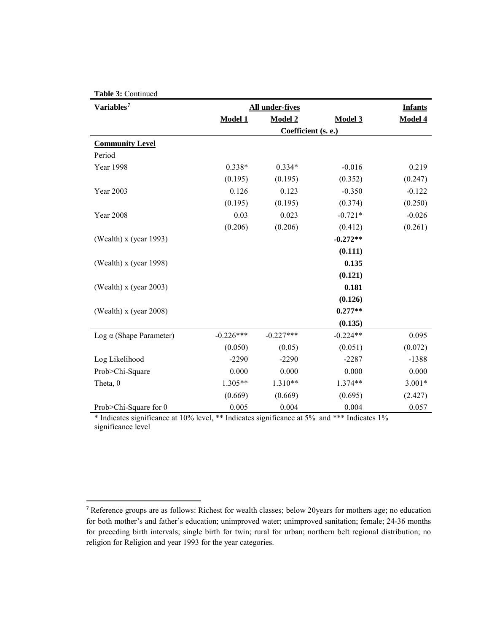| Table 3: Continued             |                                          |                     |            |          |  |
|--------------------------------|------------------------------------------|---------------------|------------|----------|--|
| Variables <sup>7</sup>         | <b>All under-fives</b><br><b>Infants</b> |                     |            |          |  |
|                                | <b>Model 1</b>                           | Model 2             | Model 3    | Model 4  |  |
|                                |                                          | Coefficient (s. e.) |            |          |  |
| <b>Community Level</b>         |                                          |                     |            |          |  |
| Period                         |                                          |                     |            |          |  |
| Year 1998                      | $0.338*$                                 | $0.334*$            | $-0.016$   | 0.219    |  |
|                                | (0.195)                                  | (0.195)             | (0.352)    | (0.247)  |  |
| Year 2003                      | 0.126                                    | 0.123               | $-0.350$   | $-0.122$ |  |
|                                | (0.195)                                  | (0.195)             | (0.374)    | (0.250)  |  |
| <b>Year 2008</b>               | 0.03                                     | 0.023               | $-0.721*$  | $-0.026$ |  |
|                                | (0.206)                                  | (0.206)             | (0.412)    | (0.261)  |  |
| (Wealth) x (year 1993)         |                                          |                     | $-0.272**$ |          |  |
|                                |                                          |                     | (0.111)    |          |  |
| (Wealth) $x$ (year 1998)       |                                          |                     | 0.135      |          |  |
|                                |                                          |                     | (0.121)    |          |  |
| (Wealth) $x$ (year 2003)       |                                          |                     | 0.181      |          |  |
|                                |                                          |                     | (0.126)    |          |  |
| (Wealth) $x$ (year 2008)       |                                          |                     | $0.277**$  |          |  |
|                                |                                          |                     | (0.135)    |          |  |
| Log $\alpha$ (Shape Parameter) | $-0.226***$                              | $-0.227***$         | $-0.224**$ | 0.095    |  |
|                                | (0.050)                                  | (0.05)              | (0.051)    | (0.072)  |  |
| Log Likelihood                 | $-2290$                                  | $-2290$             | $-2287$    | $-1388$  |  |
| Prob>Chi-Square                | 0.000                                    | 0.000               | 0.000      | 0.000    |  |
| Theta, $\theta$                | $1.305**$                                | $1.310**$           | 1.374**    | $3.001*$ |  |
|                                | (0.669)                                  | (0.669)             | (0.695)    | (2.427)  |  |
| Prob>Chi-Square for $\theta$   | 0.005                                    | 0.004               | 0.004      | 0.057    |  |

\* Indicates significance at 10% level, \*\* Indicates significance at 5% and \*\*\* Indicates 1% significance level

 $\overline{\phantom{a}}$ 

<span id="page-22-0"></span><sup>&</sup>lt;sup>7</sup> Reference groups are as follows: Richest for wealth classes; below 20years for mothers age; no education for both mother's and father's education; unimproved water; unimproved sanitation; female; 24-36 months for preceding birth intervals; single birth for twin; rural for urban; northern belt regional distribution; no religion for Religion and year 1993 for the year categories.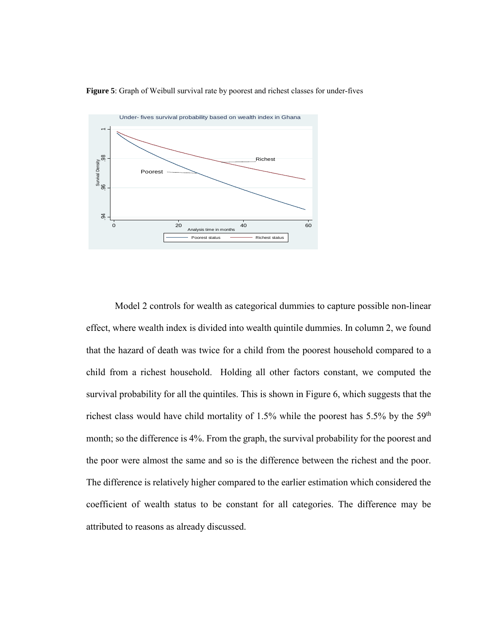**Figure 5**: Graph of Weibull survival rate by poorest and richest classes for under-fives



Model 2 controls for wealth as categorical dummies to capture possible non-linear effect, where wealth index is divided into wealth quintile dummies. In column 2, we found that the hazard of death was twice for a child from the poorest household compared to a child from a richest household. Holding all other factors constant, we computed the survival probability for all the quintiles. This is shown in Figure 6, which suggests that the richest class would have child mortality of 1.5% while the poorest has 5.5% by the  $59<sup>th</sup>$ month; so the difference is 4%. From the graph, the survival probability for the poorest and the poor were almost the same and so is the difference between the richest and the poor. The difference is relatively higher compared to the earlier estimation which considered the coefficient of wealth status to be constant for all categories. The difference may be attributed to reasons as already discussed.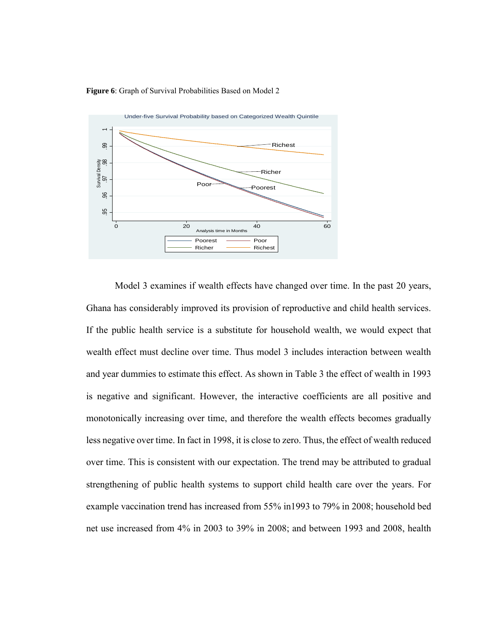

**Figure 6**: Graph of Survival Probabilities Based on Model 2

Model 3 examines if wealth effects have changed over time. In the past 20 years, Ghana has considerably improved its provision of reproductive and child health services. If the public health service is a substitute for household wealth, we would expect that wealth effect must decline over time. Thus model 3 includes interaction between wealth and year dummies to estimate this effect. As shown in Table 3 the effect of wealth in 1993 is negative and significant. However, the interactive coefficients are all positive and monotonically increasing over time, and therefore the wealth effects becomes gradually less negative over time. In fact in 1998, it is close to zero. Thus, the effect of wealth reduced over time. This is consistent with our expectation. The trend may be attributed to gradual strengthening of public health systems to support child health care over the years. For example vaccination trend has increased from 55% in1993 to 79% in 2008; household bed net use increased from 4% in 2003 to 39% in 2008; and between 1993 and 2008, health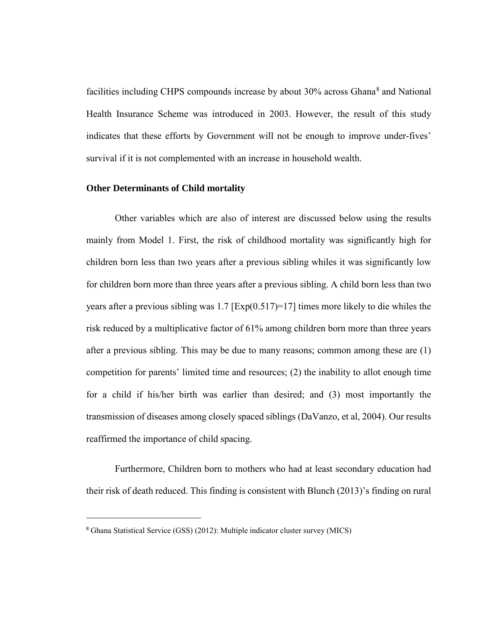facilities including CHPS compounds increase by about 30% across Ghana<sup>[8](#page-25-0)</sup> and National Health Insurance Scheme was introduced in 2003. However, the result of this study indicates that these efforts by Government will not be enough to improve under-fives' survival if it is not complemented with an increase in household wealth.

#### **Other Determinants of Child mortality**

Other variables which are also of interest are discussed below using the results mainly from Model 1. First, the risk of childhood mortality was significantly high for children born less than two years after a previous sibling whiles it was significantly low for children born more than three years after a previous sibling. A child born less than two years after a previous sibling was  $1.7$  [Exp(0.517)=17] times more likely to die whiles the risk reduced by a multiplicative factor of 61% among children born more than three years after a previous sibling. This may be due to many reasons; common among these are (1) competition for parents' limited time and resources; (2) the inability to allot enough time for a child if his/her birth was earlier than desired; and (3) most importantly the transmission of diseases among closely spaced siblings (DaVanzo, et al, 2004). Our results reaffirmed the importance of child spacing.

Furthermore, Children born to mothers who had at least secondary education had their risk of death reduced. This finding is consistent with Blunch (2013)'s finding on rural

 $\overline{\phantom{a}}$ 

<span id="page-25-0"></span><sup>8</sup> Ghana Statistical Service (GSS) (2012): Multiple indicator cluster survey (MICS)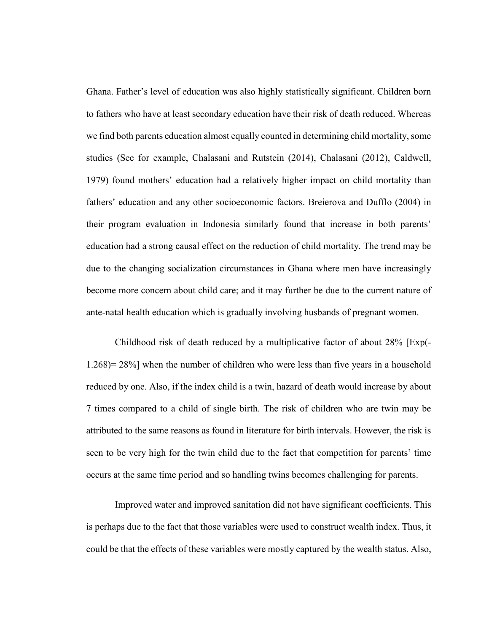Ghana. Father's level of education was also highly statistically significant. Children born to fathers who have at least secondary education have their risk of death reduced. Whereas we find both parents education almost equally counted in determining child mortality, some studies (See for example, Chalasani and Rutstein (2014), Chalasani (2012), Caldwell, 1979) found mothers' education had a relatively higher impact on child mortality than fathers' education and any other socioeconomic factors. Breierova and Dufflo (2004) in their program evaluation in Indonesia similarly found that increase in both parents' education had a strong causal effect on the reduction of child mortality. The trend may be due to the changing socialization circumstances in Ghana where men have increasingly become more concern about child care; and it may further be due to the current nature of ante-natal health education which is gradually involving husbands of pregnant women.

Childhood risk of death reduced by a multiplicative factor of about 28% [Exp(- 1.268)= 28%] when the number of children who were less than five years in a household reduced by one. Also, if the index child is a twin, hazard of death would increase by about 7 times compared to a child of single birth. The risk of children who are twin may be attributed to the same reasons as found in literature for birth intervals. However, the risk is seen to be very high for the twin child due to the fact that competition for parents' time occurs at the same time period and so handling twins becomes challenging for parents.

Improved water and improved sanitation did not have significant coefficients. This is perhaps due to the fact that those variables were used to construct wealth index. Thus, it could be that the effects of these variables were mostly captured by the wealth status. Also,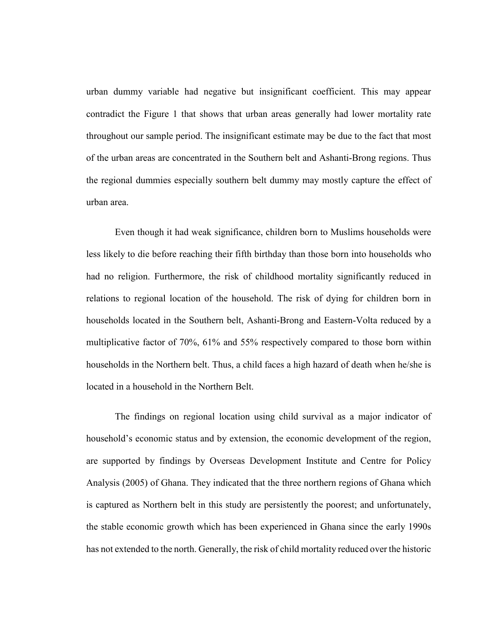urban dummy variable had negative but insignificant coefficient. This may appear contradict the Figure 1 that shows that urban areas generally had lower mortality rate throughout our sample period. The insignificant estimate may be due to the fact that most of the urban areas are concentrated in the Southern belt and Ashanti-Brong regions. Thus the regional dummies especially southern belt dummy may mostly capture the effect of urban area.

Even though it had weak significance, children born to Muslims households were less likely to die before reaching their fifth birthday than those born into households who had no religion. Furthermore, the risk of childhood mortality significantly reduced in relations to regional location of the household. The risk of dying for children born in households located in the Southern belt, Ashanti-Brong and Eastern-Volta reduced by a multiplicative factor of 70%, 61% and 55% respectively compared to those born within households in the Northern belt. Thus, a child faces a high hazard of death when he/she is located in a household in the Northern Belt.

The findings on regional location using child survival as a major indicator of household's economic status and by extension, the economic development of the region, are supported by findings by Overseas Development Institute and Centre for Policy Analysis (2005) of Ghana. They indicated that the three northern regions of Ghana which is captured as Northern belt in this study are persistently the poorest; and unfortunately, the stable economic growth which has been experienced in Ghana since the early 1990s has not extended to the north. Generally, the risk of child mortality reduced over the historic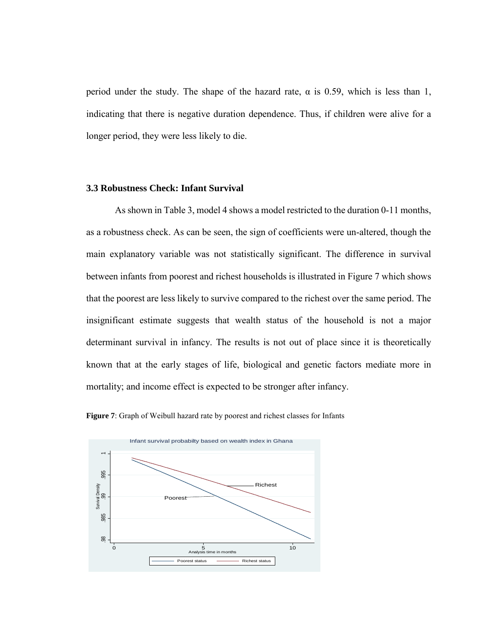period under the study. The shape of the hazard rate,  $\alpha$  is 0.59, which is less than 1, indicating that there is negative duration dependence. Thus, if children were alive for a longer period, they were less likely to die.

#### **3.3 Robustness Check: Infant Survival**

As shown in Table 3, model 4 shows a model restricted to the duration 0-11 months, as a robustness check. As can be seen, the sign of coefficients were un-altered, though the main explanatory variable was not statistically significant. The difference in survival between infants from poorest and richest households is illustrated in Figure 7 which shows that the poorest are less likely to survive compared to the richest over the same period. The insignificant estimate suggests that wealth status of the household is not a major determinant survival in infancy. The results is not out of place since it is theoretically known that at the early stages of life, biological and genetic factors mediate more in mortality; and income effect is expected to be stronger after infancy.



**Figure 7**: Graph of Weibull hazard rate by poorest and richest classes for Infants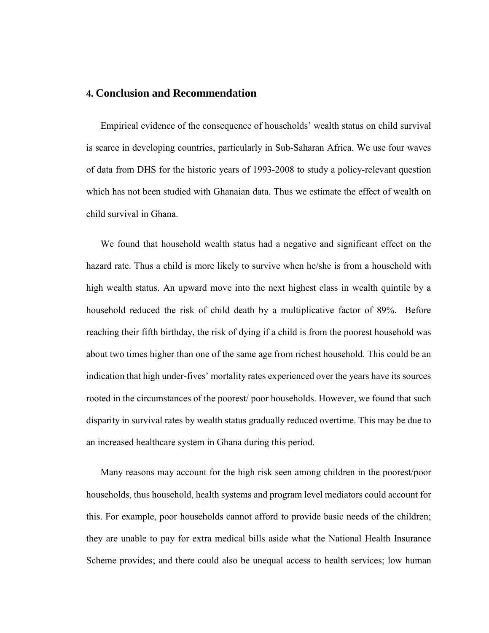## **4. Conclusion and Recommendation**

Empirical evidence of the consequence of households' wealth status on child survival is scarce in developing countries, particularly in Sub-Saharan Africa. We use four waves of data from DHS for the historic years of 1993-2008 to study a policy-relevant question which has not been studied with Ghanaian data. Thus we estimate the effect of wealth on child survival in Ghana.

We found that household wealth status had a negative and significant effect on the hazard rate. Thus a child is more likely to survive when he/she is from a household with high wealth status. An upward move into the next highest class in wealth quintile by a household reduced the risk of child death by a multiplicative factor of 89%. Before reaching their fifth birthday, the risk of dying if a child is from the poorest household was about two times higher than one of the same age from richest household. This could be an indication that high under-fives' mortality rates experienced over the years have its sources rooted in the circumstances of the poorest/ poor households. However, we found that such disparity in survival rates by wealth status gradually reduced overtime. This may be due to an increased healthcare system in Ghana during this period.

Many reasons may account for the high risk seen among children in the poorest/poor households, thus household, health systems and program level mediators could account for this. For example, poor households cannot afford to provide basic needs of the children; they are unable to pay for extra medical bills aside what the National Health Insurance Scheme provides; and there could also be unequal access to health services; low human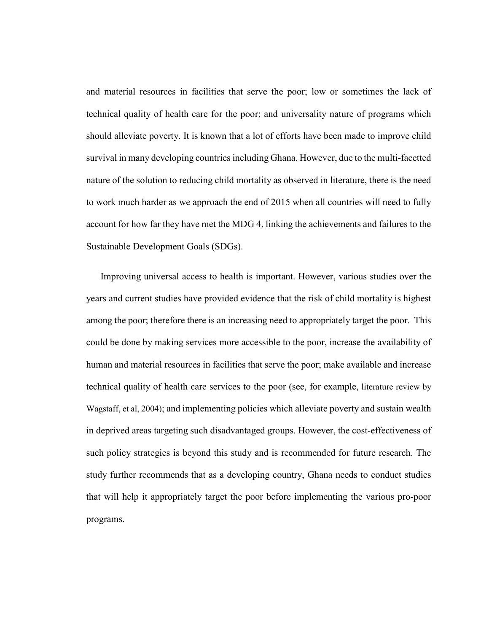and material resources in facilities that serve the poor; low or sometimes the lack of technical quality of health care for the poor; and universality nature of programs which should alleviate poverty. It is known that a lot of efforts have been made to improve child survival in many developing countries including Ghana. However, due to the multi-facetted nature of the solution to reducing child mortality as observed in literature, there is the need to work much harder as we approach the end of 2015 when all countries will need to fully account for how far they have met the MDG 4, linking the achievements and failures to the Sustainable Development Goals (SDGs).

Improving universal access to health is important. However, various studies over the years and current studies have provided evidence that the risk of child mortality is highest among the poor; therefore there is an increasing need to appropriately target the poor. This could be done by making services more accessible to the poor, increase the availability of human and material resources in facilities that serve the poor; make available and increase technical quality of health care services to the poor (see, for example, literature review by Wagstaff, et al, 2004); and implementing policies which alleviate poverty and sustain wealth in deprived areas targeting such disadvantaged groups. However, the cost-effectiveness of such policy strategies is beyond this study and is recommended for future research. The study further recommends that as a developing country, Ghana needs to conduct studies that will help it appropriately target the poor before implementing the various pro-poor programs.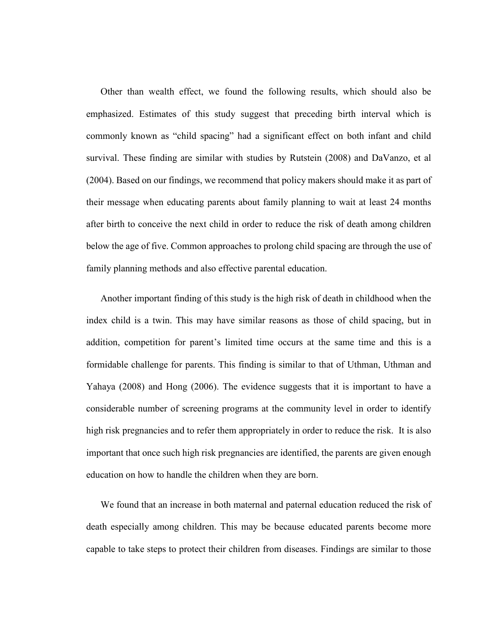Other than wealth effect, we found the following results, which should also be emphasized. Estimates of this study suggest that preceding birth interval which is commonly known as "child spacing" had a significant effect on both infant and child survival. These finding are similar with studies by Rutstein (2008) and DaVanzo, et al (2004). Based on our findings, we recommend that policy makers should make it as part of their message when educating parents about family planning to wait at least 24 months after birth to conceive the next child in order to reduce the risk of death among children below the age of five. Common approaches to prolong child spacing are through the use of family planning methods and also effective parental education.

Another important finding of this study is the high risk of death in childhood when the index child is a twin. This may have similar reasons as those of child spacing, but in addition, competition for parent's limited time occurs at the same time and this is a formidable challenge for parents. This finding is similar to that of Uthman, Uthman and Yahaya (2008) and Hong (2006). The evidence suggests that it is important to have a considerable number of screening programs at the community level in order to identify high risk pregnancies and to refer them appropriately in order to reduce the risk. It is also important that once such high risk pregnancies are identified, the parents are given enough education on how to handle the children when they are born.

We found that an increase in both maternal and paternal education reduced the risk of death especially among children. This may be because educated parents become more capable to take steps to protect their children from diseases. Findings are similar to those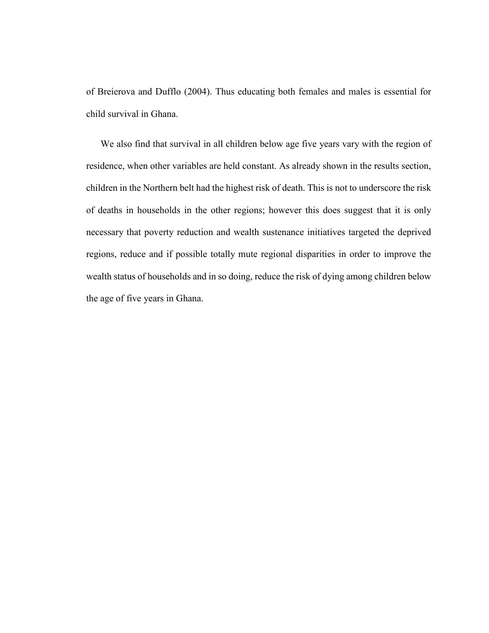of Breierova and Dufflo (2004). Thus educating both females and males is essential for child survival in Ghana.

We also find that survival in all children below age five years vary with the region of residence, when other variables are held constant. As already shown in the results section, children in the Northern belt had the highest risk of death. This is not to underscore the risk of deaths in households in the other regions; however this does suggest that it is only necessary that poverty reduction and wealth sustenance initiatives targeted the deprived regions, reduce and if possible totally mute regional disparities in order to improve the wealth status of households and in so doing, reduce the risk of dying among children below the age of five years in Ghana.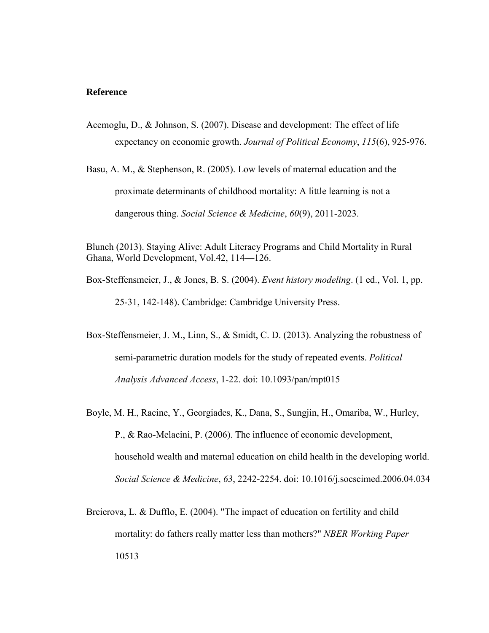#### **Reference**

- Acemoglu, D., & Johnson, S. (2007). Disease and development: The effect of life expectancy on economic growth. *Journal of Political Economy*, *115*(6), 925-976.
- Basu, A. M., & Stephenson, R. (2005). Low levels of maternal education and the proximate determinants of childhood mortality: A little learning is not a dangerous thing. *Social Science & Medicine*, *60*(9), 2011-2023.

Blunch (2013). Staying Alive: Adult Literacy Programs and Child Mortality in Rural Ghana, World Development, Vol.42, 114—126.

- Box-Steffensmeier, J., & Jones, B. S. (2004). *Event history modeling*. (1 ed., Vol. 1, pp. 25-31, 142-148). Cambridge: Cambridge University Press.
- Box-Steffensmeier, J. M., Linn, S., & Smidt, C. D. (2013). Analyzing the robustness of semi-parametric duration models for the study of repeated events. *Political Analysis Advanced Access*, 1-22. doi: 10.1093/pan/mpt015
- Boyle, M. H., Racine, Y., Georgiades, K., Dana, S., Sungjin, H., Omariba, W., Hurley, P., & Rao-Melacini, P. (2006). The influence of economic development, household wealth and maternal education on child health in the developing world. *Social Science & Medicine*, *63*, 2242-2254. doi: 10.1016/j.socscimed.2006.04.034
- Breierova, L. & Dufflo, E. (2004). "The impact of education on fertility and child mortality: do fathers really matter less than mothers?" *NBER Working Paper* 10513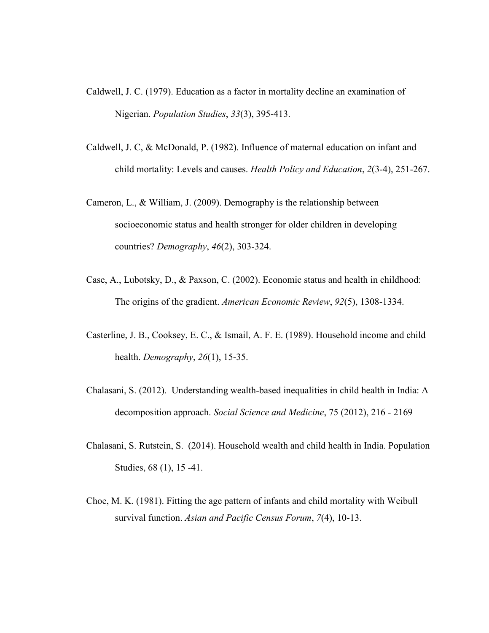- Caldwell, J. C. (1979). Education as a factor in mortality decline an examination of Nigerian. *Population Studies*, *33*(3), 395-413.
- Caldwell, J. C, & McDonald, P. (1982). Influence of maternal education on infant and child mortality: Levels and causes. *Health Policy and Education*, *2*(3-4), 251-267.
- Cameron, L., & William, J. (2009). Demography is the relationship between socioeconomic status and health stronger for older children in developing countries? *Demography*, *46*(2), 303-324.
- Case, A., Lubotsky, D., & Paxson, C. (2002). Economic status and health in childhood: The origins of the gradient. *American Economic Review*, *92*(5), 1308-1334.
- Casterline, J. B., Cooksey, E. C., & Ismail, A. F. E. (1989). Household income and child health. *Demography*, *26*(1), 15-35.
- Chalasani, S. (2012). Understanding wealth-based inequalities in child health in India: A decomposition approach. *Social Science and Medicine*, 75 (2012), 216 - 2169
- Chalasani, S. Rutstein, S. (2014). Household wealth and child health in India. Population Studies, 68 (1), 15 -41.
- Choe, M. K. (1981). Fitting the age pattern of infants and child mortality with Weibull survival function. *Asian and Pacific Census Forum*, *7*(4), 10-13.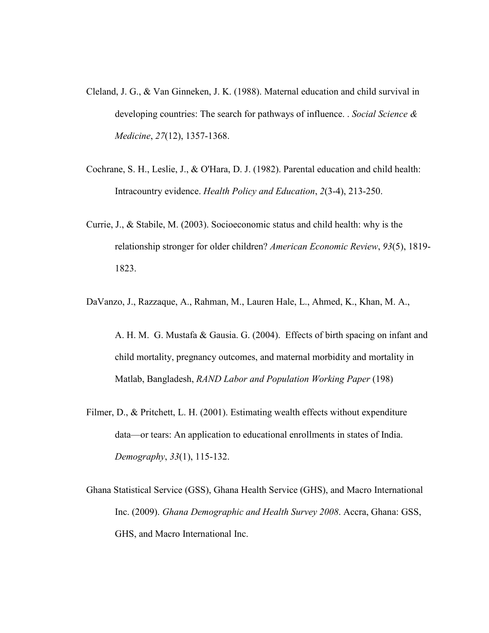- Cleland, J. G., & Van Ginneken, J. K. (1988). Maternal education and child survival in developing countries: The search for pathways of influence. . *Social Science & Medicine*, *27*(12), 1357-1368.
- Cochrane, S. H., Leslie, J., & O'Hara, D. J. (1982). Parental education and child health: Intracountry evidence. *Health Policy and Education*, *2*(3-4), 213-250.
- Currie, J., & Stabile, M. (2003). Socioeconomic status and child health: why is the relationship stronger for older children? *American Economic Review*, *93*(5), 1819- 1823.
- DaVanzo, J., Razzaque, A., Rahman, M., Lauren Hale, L., Ahmed, K., Khan, M. A.,

A. H. M. G. Mustafa & Gausia. G. (2004). Effects of birth spacing on infant and child mortality, pregnancy outcomes, and maternal morbidity and mortality in Matlab, Bangladesh, *RAND Labor and Population Working Paper* (198)

- Filmer, D., & Pritchett, L. H. (2001). Estimating wealth effects without expenditure data—or tears: An application to educational enrollments in states of India. *Demography*, *33*(1), 115-132.
- Ghana Statistical Service (GSS), Ghana Health Service (GHS), and Macro International Inc. (2009). *Ghana Demographic and Health Survey 2008*. Accra, Ghana: GSS, GHS, and Macro International Inc.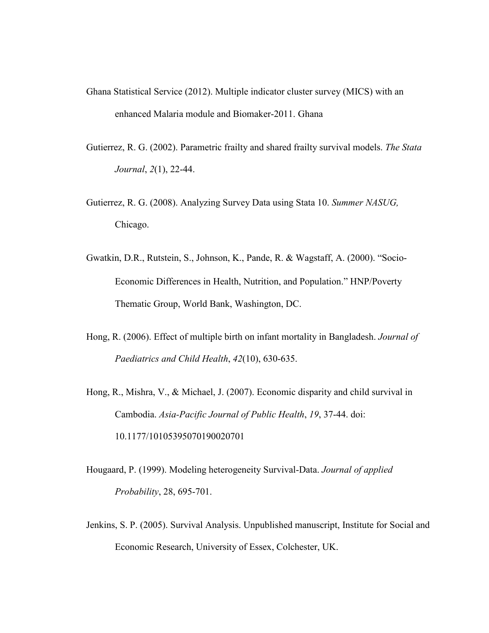- Ghana Statistical Service (2012). Multiple indicator cluster survey (MICS) with an enhanced Malaria module and Biomaker-2011. Ghana
- Gutierrez, R. G. (2002). Parametric frailty and shared frailty survival models. *The Stata Journal*, *2*(1), 22-44.
- Gutierrez, R. G. (2008). Analyzing Survey Data using Stata 10. *Summer NASUG,* Chicago.
- Gwatkin, D.R., Rutstein, S., Johnson, K., Pande, R. & Wagstaff, A. (2000). "Socio-Economic Differences in Health, Nutrition, and Population." HNP/Poverty Thematic Group, World Bank, Washington, DC.
- Hong, R. (2006). Effect of multiple birth on infant mortality in Bangladesh. *Journal of Paediatrics and Child Health*, *42*(10), 630-635.
- Hong, R., Mishra, V., & Michael, J. (2007). Economic disparity and child survival in Cambodia. *Asia-Pacific Journal of Public Health*, *19*, 37-44. doi: 10.1177/10105395070190020701
- Hougaard, P. (1999). Modeling heterogeneity Survival-Data. *Journal of applied Probability*, 28, 695-701.
- Jenkins, S. P. (2005). Survival Analysis. Unpublished manuscript, Institute for Social and Economic Research, University of Essex, Colchester, UK.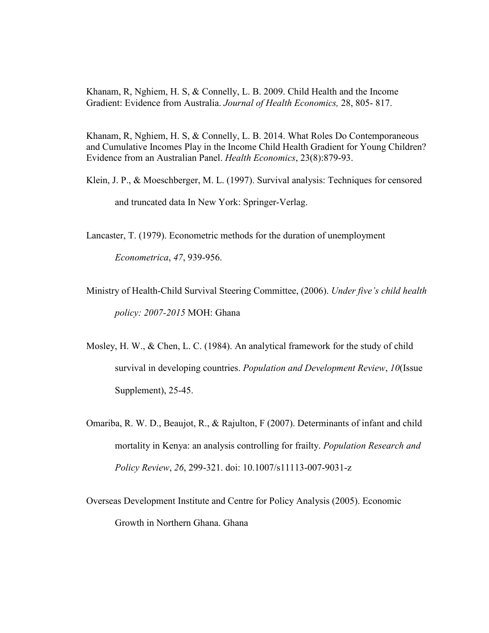Khanam, R, Nghiem, H. S, & Connelly, L. B. 2009. Child Health and the Income Gradient: Evidence from Australia. *Journal of Health Economics,* 28, 805- 817.

Khanam, R, Nghiem, H. S, & Connelly, L. B. 2014. What Roles Do Contemporaneous and Cumulative Incomes Play in the Income Child Health Gradient for Young Children? Evidence from an Australian Panel. *Health Economics*, 23(8):879-93.

Klein, J. P., & Moeschberger, M. L. (1997). Survival analysis: Techniques for censored and truncated data In New York: Springer-Verlag.

Lancaster, T. (1979). Econometric methods for the duration of unemployment

*Econometrica*, *47*, 939-956.

Ministry of Health-Child Survival Steering Committee, (2006). *Under five's child health policy: 2007-2015* MOH: Ghana

- Mosley, H. W., & Chen, L. C. (1984). An analytical framework for the study of child survival in developing countries. *Population and Development Review*, *10*(Issue Supplement), 25-45.
- Omariba, R. W. D., Beaujot, R., & Rajulton, F (2007). Determinants of infant and child mortality in Kenya: an analysis controlling for frailty. *Population Research and Policy Review*, *26*, 299-321. doi: 10.1007/s11113-007-9031-z

Overseas Development Institute and Centre for Policy Analysis (2005). Economic Growth in Northern Ghana. Ghana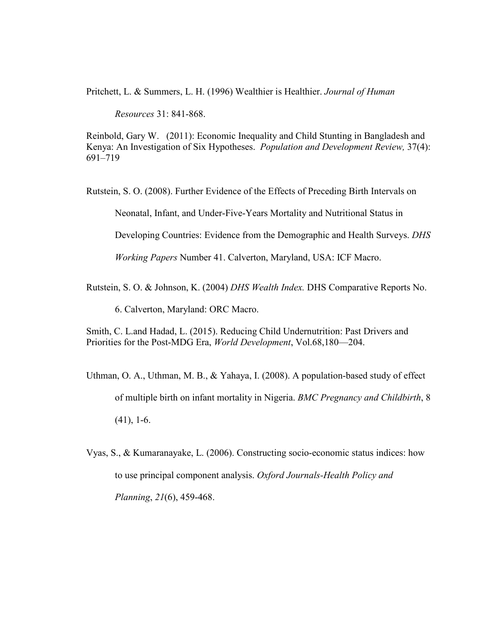Pritchett, L. & Summers, L. H. (1996) Wealthier is Healthier. *Journal of Human* 

*Resources* 31: 841-868.

Reinbold, Gary W. (2011): Economic Inequality and Child Stunting in Bangladesh and Kenya: An Investigation of Six Hypotheses. *Population and Development Review,* 37(4): 691–719

Rutstein, S. O. (2008). Further Evidence of the Effects of Preceding Birth Intervals on

Neonatal, Infant, and Under-Five-Years Mortality and Nutritional Status in

Developing Countries: Evidence from the Demographic and Health Surveys. *DHS* 

*Working Papers* Number 41. Calverton, Maryland, USA: ICF Macro.

Rutstein, S. O. & Johnson, K. (2004) *DHS Wealth Index.* DHS Comparative Reports No.

6. Calverton, Maryland: ORC Macro.

Smith, C. L.and Hadad, L. (2015). Reducing Child Undernutrition: Past Drivers and Priorities for the Post-MDG Era, *World Development*, Vol.68,180—204.

Uthman, O. A., Uthman, M. B., & Yahaya, I. (2008). A population-based study of effect of multiple birth on infant mortality in Nigeria. *BMC Pregnancy and Childbirth*, 8 (41), 1-6.

Vyas, S., & Kumaranayake, L. (2006). Constructing socio-economic status indices: how to use principal component analysis. *Oxford Journals-Health Policy and Planning*, *21*(6), 459-468.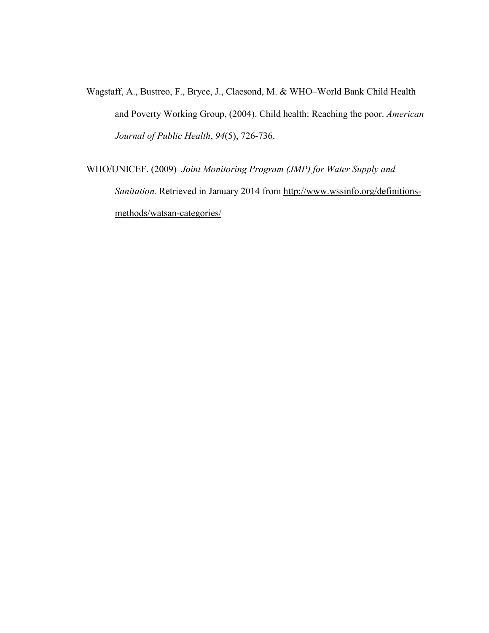- Wagstaff, A., Bustreo, F., Bryce, J., Claesond, M. & WHO–World Bank Child Health and Poverty Working Group, (2004). Child health: Reaching the poor. *American Journal of Public Health*, *94*(5), 726-736.
- WHO/UNICEF. (2009) *Joint Monitoring Program (JMP) for Water Supply and Sanitation.* Retrieved in January 2014 from [http://www.wssinfo.org/definitions](http://www.wssinfo.org/definitions-methods/watsan-categories/)[methods/watsan-categories/](http://www.wssinfo.org/definitions-methods/watsan-categories/)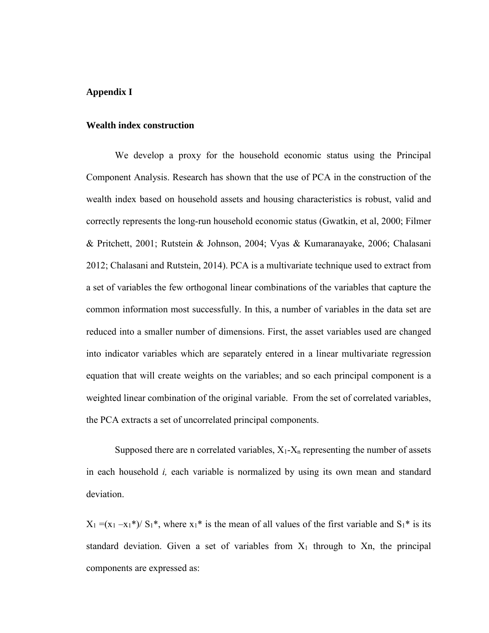## **Appendix I**

#### **Wealth index construction**

We develop a proxy for the household economic status using the Principal Component Analysis. Research has shown that the use of PCA in the construction of the wealth index based on household assets and housing characteristics is robust, valid and correctly represents the long-run household economic status (Gwatkin, et al, 2000; Filmer & Pritchett, 2001; Rutstein & Johnson, 2004; Vyas & Kumaranayake, 2006; Chalasani 2012; Chalasani and Rutstein, 2014). PCA is a multivariate technique used to extract from a set of variables the few orthogonal linear combinations of the variables that capture the common information most successfully. In this, a number of variables in the data set are reduced into a smaller number of dimensions. First, the asset variables used are changed into indicator variables which are separately entered in a linear multivariate regression equation that will create weights on the variables; and so each principal component is a weighted linear combination of the original variable. From the set of correlated variables, the PCA extracts a set of uncorrelated principal components.

Supposed there are n correlated variables,  $X_1 - X_n$  representing the number of assets in each household *i,* each variable is normalized by using its own mean and standard deviation.

 $X_1 = (x_1 - x_1)^* / S_1^*$ , where  $x_1^*$  is the mean of all values of the first variable and  $S_1^*$  is its standard deviation. Given a set of variables from  $X_1$  through to Xn, the principal components are expressed as: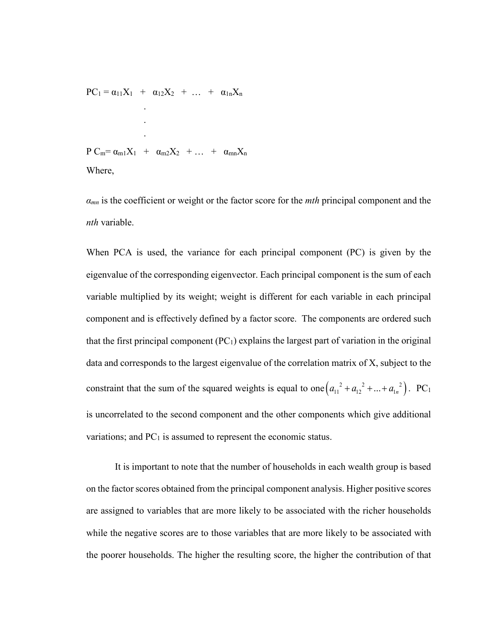$PC_1 = \alpha_{11}X_1 + \alpha_{12}X_2 + \ldots + \alpha_{1n}X_n$  . . .  $P C_m = \alpha_{m1} X_1 + \alpha_{m2} X_2 + \ldots + \alpha_{mn} X_n$ Where,

*αmn* is the coefficient or weight or the factor score for the *mth* principal component and the *nth* variable.

When PCA is used, the variance for each principal component (PC) is given by the eigenvalue of the corresponding eigenvector. Each principal component is the sum of each variable multiplied by its weight; weight is different for each variable in each principal component and is effectively defined by a factor score. The components are ordered such that the first principal component  $(PC_1)$  explains the largest part of variation in the original data and corresponds to the largest eigenvalue of the correlation matrix of X, subject to the constraint that the sum of the squared weights is equal to one  $(a_{11}^2 + a_{12}^2 + ... + a_{1n}^2)$ . PC<sub>1</sub> is uncorrelated to the second component and the other components which give additional variations; and  $PC<sub>1</sub>$  is assumed to represent the economic status.

It is important to note that the number of households in each wealth group is based on the factor scores obtained from the principal component analysis. Higher positive scores are assigned to variables that are more likely to be associated with the richer households while the negative scores are to those variables that are more likely to be associated with the poorer households. The higher the resulting score, the higher the contribution of that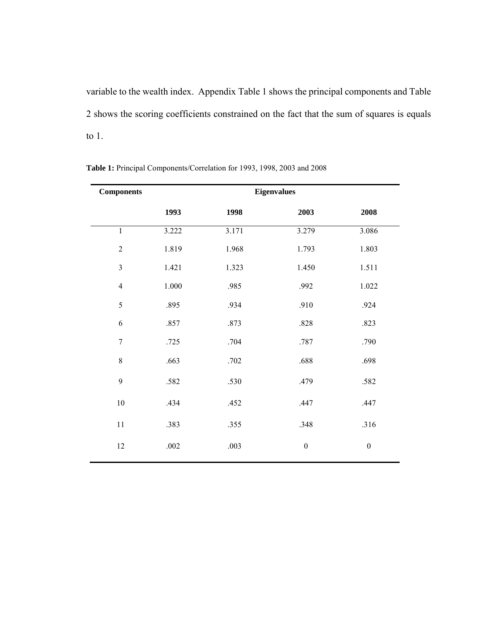variable to the wealth index. Appendix Table 1 shows the principal components and Table 2 shows the scoring coefficients constrained on the fact that the sum of squares is equals to 1.

| <b>Components</b> | <b>Eigenvalues</b> |       |                  |                  |  |
|-------------------|--------------------|-------|------------------|------------------|--|
|                   | 1993               | 1998  | 2003             | 2008             |  |
| $\mathbf{1}$      | 3.222              | 3.171 | 3.279            | 3.086            |  |
| $\overline{2}$    | 1.819              | 1.968 | 1.793            | 1.803            |  |
| $\overline{3}$    | 1.421              | 1.323 | 1.450            | 1.511            |  |
| $\overline{4}$    | $1.000\,$          | .985  | .992             | 1.022            |  |
| 5                 | .895               | .934  | .910             | .924             |  |
| 6                 | .857               | .873  | $.828\,$         | .823             |  |
| $\overline{7}$    | .725               | .704  | $.787$           | .790             |  |
| $\,8\,$           | .663               | .702  | .688             | .698             |  |
| 9                 | .582               | .530  | .479             | .582             |  |
| $10\,$            | .434               | .452  | .447             | .447             |  |
| $11\,$            | .383               | .355  | .348             | .316             |  |
| 12                | $.002\,$           | .003  | $\boldsymbol{0}$ | $\boldsymbol{0}$ |  |

**Table 1:** Principal Components/Correlation for 1993, 1998, 2003 and 2008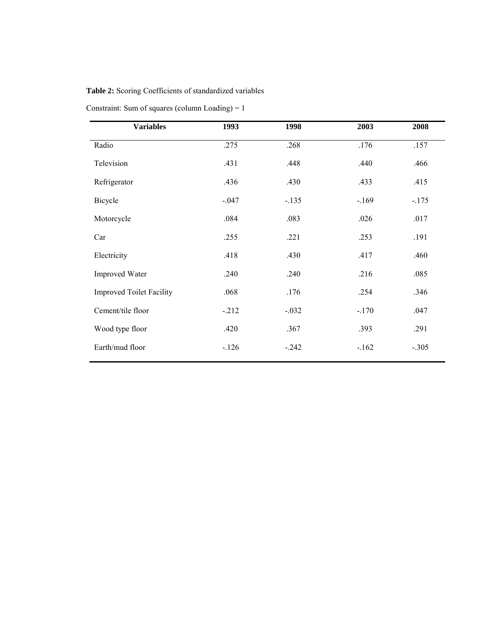## **Table 2:** Scoring Coefficients of standardized variables

Constraint: Sum of squares (column Loading) = 1

| <b>Variables</b>                | 1993     | 1998    | 2003    | 2008    |
|---------------------------------|----------|---------|---------|---------|
| Radio                           | .275     | .268    | .176    | .157    |
| Television                      | .431     | .448    | .440    | .466    |
| Refrigerator                    | .436     | .430    | .433    | .415    |
| Bicycle                         | $-0.047$ | $-.135$ | $-169$  | $-.175$ |
| Motorcycle                      | .084     | .083    | .026    | .017    |
| Car                             | .255     | .221    | .253    | .191    |
| Electricity                     | .418     | .430    | .417    | .460    |
| <b>Improved Water</b>           | .240     | .240    | .216    | .085    |
| <b>Improved Toilet Facility</b> | .068     | .176    | .254    | .346    |
| Cement/tile floor               | $-212$   | $-.032$ | $-.170$ | .047    |
| Wood type floor                 | .420     | .367    | .393    | .291    |
| Earth/mud floor                 | $-126$   | $-.242$ | $-.162$ | $-.305$ |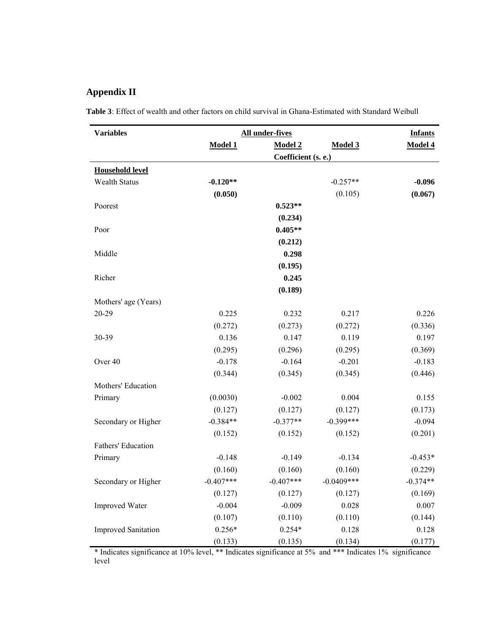## **Appendix II**

**Table 3**: Effect of wealth and other factors on child survival in Ghana-Estimated with Standard Weibull

| <b>Variables</b>           | <b>All under-fives</b> | <b>Infants</b>      |               |            |  |  |
|----------------------------|------------------------|---------------------|---------------|------------|--|--|
|                            | Model 1                | Model 2             | Model 3       | Model 4    |  |  |
|                            |                        | Coefficient (s. e.) |               |            |  |  |
| <b>Household level</b>     |                        |                     |               |            |  |  |
| <b>Wealth Status</b>       | $-0.120**$             |                     | $-0.257**$    | $-0.096$   |  |  |
|                            | (0.050)                |                     | (0.105)       | (0.067)    |  |  |
| Poorest                    |                        | $0.523**$           |               |            |  |  |
|                            |                        | (0.234)             |               |            |  |  |
| Poor                       |                        | $0.405**$           |               |            |  |  |
|                            |                        | (0.212)             |               |            |  |  |
| Middle                     |                        | 0.298               |               |            |  |  |
|                            |                        | (0.195)             |               |            |  |  |
| Richer                     |                        | 0.245               |               |            |  |  |
|                            |                        | (0.189)             |               |            |  |  |
| Mothers' age (Years)       |                        |                     |               |            |  |  |
| 20-29                      | 0.225                  | 0.232               | 0.217         | 0.226      |  |  |
|                            | (0.272)                | (0.273)             | (0.272)       | (0.336)    |  |  |
| 30-39                      | 0.136                  | 0.147               | 0.119         | 0.197      |  |  |
|                            | (0.295)                | (0.296)             | (0.295)       | (0.369)    |  |  |
| Over 40                    | $-0.178$               | $-0.164$            | $-0.201$      | $-0.183$   |  |  |
|                            | (0.344)                | (0.345)             | (0.345)       | (0.446)    |  |  |
| Mothers' Education         |                        |                     |               |            |  |  |
| Primary                    | (0.0030)               | $-0.002$            | 0.004         | 0.155      |  |  |
|                            | (0.127)                | (0.127)             | (0.127)       | (0.173)    |  |  |
| Secondary or Higher        | $-0.384**$             | $-0.377**$          | $-0.399***$   | $-0.094$   |  |  |
|                            | (0.152)                | (0.152)             | (0.152)       | (0.201)    |  |  |
| Fathers' Education         |                        |                     |               |            |  |  |
| Primary                    | $-0.148$               | $-0.149$            | $-0.134$      | $-0.453*$  |  |  |
|                            | (0.160)                | (0.160)             | (0.160)       | (0.229)    |  |  |
| Secondary or Higher        | $-0.407***$            | $-0.407***$         | $-0.0409$ *** | $-0.374**$ |  |  |
|                            | (0.127)                | (0.127)             | (0.127)       | (0.169)    |  |  |
| <b>Improved Water</b>      | $-0.004$               | $-0.009$            | 0.028         | 0.007      |  |  |
|                            | (0.107)                | (0.110)             | (0.110)       | (0.144)    |  |  |
| <b>Improved Sanitation</b> | $0.256*$               | $0.254*$            | 0.128         | 0.128      |  |  |
|                            | (0.133)                | (0.135)             | (0.134)       | (0.177)    |  |  |

\* Indicates significance at 10% level, \*\* Indicates significance at 5% and \*\*\* Indicates 1% significance level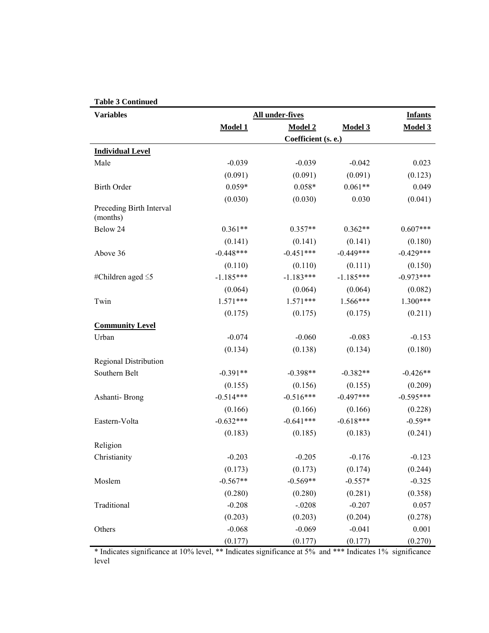| <b>Variables</b>                     | All under-fives     |             |                |             |  |  |
|--------------------------------------|---------------------|-------------|----------------|-------------|--|--|
|                                      | Model 1             | Model 2     | <b>Model 3</b> | Model 3     |  |  |
|                                      | Coefficient (s. e.) |             |                |             |  |  |
| <b>Individual Level</b>              |                     |             |                |             |  |  |
| Male                                 | $-0.039$            | $-0.039$    | $-0.042$       | 0.023       |  |  |
|                                      | (0.091)             | (0.091)     | (0.091)        | (0.123)     |  |  |
| <b>Birth Order</b>                   | $0.059*$            | $0.058*$    | $0.061**$      | 0.049       |  |  |
|                                      | (0.030)             | (0.030)     | 0.030          | (0.041)     |  |  |
| Preceding Birth Interval<br>(months) |                     |             |                |             |  |  |
| Below 24                             | $0.361**$           | $0.357**$   | $0.362**$      | $0.607***$  |  |  |
|                                      | (0.141)             | (0.141)     | (0.141)        | (0.180)     |  |  |
| Above 36                             | $-0.448***$         | $-0.451***$ | $-0.449***$    | $-0.429***$ |  |  |
|                                      | (0.110)             | (0.110)     | (0.111)        | (0.150)     |  |  |
| #Children aged $\leq$ 5              | $-1.185***$         | $-1.183***$ | $-1.185***$    | $-0.973***$ |  |  |
|                                      | (0.064)             | (0.064)     | (0.064)        | (0.082)     |  |  |
| Twin                                 | $1.571***$          | $1.571***$  | $1.566***$     | $1.300***$  |  |  |
|                                      | (0.175)             | (0.175)     | (0.175)        | (0.211)     |  |  |
| <b>Community Level</b>               |                     |             |                |             |  |  |
| Urban                                | $-0.074$            | $-0.060$    | $-0.083$       | $-0.153$    |  |  |
|                                      | (0.134)             | (0.138)     | (0.134)        | (0.180)     |  |  |
| Regional Distribution                |                     |             |                |             |  |  |
| Southern Belt                        | $-0.391**$          | $-0.398**$  | $-0.382**$     | $-0.426**$  |  |  |
|                                      | (0.155)             | (0.156)     | (0.155)        | (0.209)     |  |  |
| Ashanti-Brong                        | $-0.514***$         | $-0.516***$ | $-0.497***$    | $-0.595***$ |  |  |
|                                      | (0.166)             | (0.166)     | (0.166)        | (0.228)     |  |  |
| Eastern-Volta                        | $-0.632***$         | $-0.641***$ | $-0.618***$    | $-0.59**$   |  |  |
|                                      | (0.183)             | (0.185)     | (0.183)        | (0.241)     |  |  |
| Religion                             |                     |             |                |             |  |  |
| Christianity                         | $-0.203$            | $-0.205$    | $-0.176$       | $-0.123$    |  |  |
|                                      | (0.173)             | (0.173)     | (0.174)        | (0.244)     |  |  |
| Moslem                               | $-0.567**$          | $-0.569**$  | $-0.557*$      | $-0.325$    |  |  |
|                                      | (0.280)             | (0.280)     | (0.281)        | (0.358)     |  |  |
| Traditional                          | $-0.208$            | $-.0208$    | $-0.207$       | 0.057       |  |  |
|                                      | (0.203)             | (0.203)     | (0.204)        | (0.278)     |  |  |
| Others                               | $-0.068$            | $-0.069$    | $-0.041$       | 0.001       |  |  |
|                                      | (0.177)             | (0.177)     | (0.177)        | (0.270)     |  |  |

\* Indicates significance at 10% level, \*\* Indicates significance at 5% and \*\*\* Indicates 1% significance level